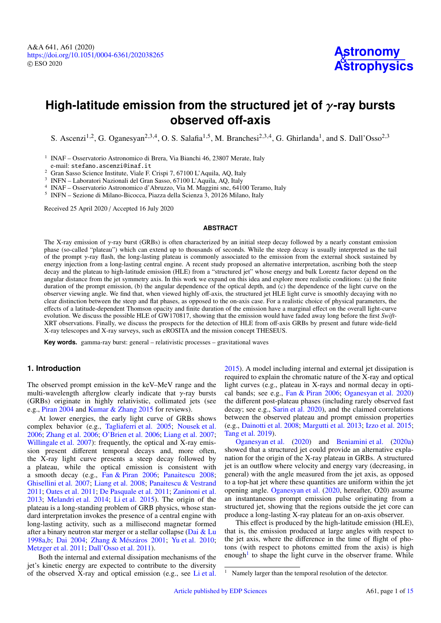# **High-latitude emission from the structured jet of** γ**-ray bursts observed off-axis**

S. Ascenzi<sup>[1](#page-0-0)[,2](#page-0-1)</sup>, G. Oganesyan<sup>[2](#page-0-1)[,3](#page-0-2)[,4](#page-0-3)</sup>, O. S. Salafia<sup>1[,5](#page-0-4)</sup>, M. Branchesi<sup>2,3,4</sup>, G. Ghirlanda<sup>1</sup>, and S. Dall'Osso<sup>2,3</sup>

<span id="page-0-0"></span><sup>1</sup> INAF – Osservatorio Astronomico di Brera, Via Bianchi 46, 23807 Merate, Italy e-mail: stefano.ascenzi@inaf.it

<span id="page-0-1"></span><sup>2</sup> Gran Sasso Science Institute, Viale F. Crispi 7, 67100 L'Aquila, AQ, Italy

<span id="page-0-2"></span>3 INFN – Laboratori Nazionali del Gran Sasso, 67100 L'Aquila, AQ, Italy

<span id="page-0-3"></span>4 INAF – Osservatorio Astronomico d'Abruzzo, Via M. Maggini snc, 64100 Teramo, Italy

<span id="page-0-4"></span>5 INFN – Sezione di Milano-Bicocca, Piazza della Scienza 3, 20126 Milano, Italy

Received 25 April 2020 / Accepted 16 July 2020

#### **ABSTRACT**

The X-ray emission of  $\gamma$ -ray burst (GRBs) is often characterized by an initial steep decay followed by a nearly constant emission phase (so-called "plateau") which can extend up to thousands of seconds. While the steep decay is usually interpreted as the tail of the prompt γ-ray flash, the long-lasting plateau is commonly associated to the emission from the external shock sustained by energy injection from a long-lasting central engine. A recent study proposed an alternative interpretation, ascribing both the steep decay and the plateau to high-latitude emission (HLE) from a "structured jet" whose energy and bulk Lorentz factor depend on the angular distance from the jet symmetry axis. In this work we expand on this idea and explore more realistic conditions: (a) the finite duration of the prompt emission, (b) the angular dependence of the optical depth, and  $(c)$  the dependence of the light curve on the observer viewing angle. We find that, when viewed highly off-axis, the structured jet HLE light curve is smoothly decaying with no clear distinction between the steep and flat phases, as opposed to the on-axis case. For a realistic choice of physical parameters, the effects of a latitude-dependent Thomson opacity and finite duration of the emission have a marginal effect on the overall light-curve evolution. We discuss the possible HLE of GW170817, showing that the emission would have faded away long before the first *Swift*-XRT observations. Finally, we discuss the prospects for the detection of HLE from off-axis GRBs by present and future wide-field X-ray telescopes and X-ray surveys, such as eROSITA and the mission concept THESEUS.

**Key words.** gamma-ray burst: general – relativistic processes – gravitational waves

# **1. Introduction**

The observed prompt emission in the keV–MeV range and the multi-wavelength afterglow clearly indicate that  $\gamma$ -ray bursts (GRBs) originate in highly relativistic, collimated jets (see e.g., [Piran](#page-11-0) [2004](#page-11-0) and [Kumar & Zhang](#page-10-0) [2015](#page-10-0) for reviews).

At lower energies, the early light curve of GRBs shows complex behavior (e.g., [Tagliaferri et al.](#page-11-1) [2005;](#page-11-1) [Nousek et al.](#page-11-2) [2006;](#page-11-2) [Zhang et al.](#page-11-3) [2006;](#page-11-3) [O'Brien et al.](#page-11-4) [2006;](#page-11-4) [Liang et al.](#page-10-1) [2007;](#page-10-1) [Willingale et al.](#page-11-5) [2007\)](#page-11-5): frequently, the optical and X-ray emission present different temporal decays and, more often, the X-ray light curve presents a steep decay followed by a plateau, while the optical emission is consistent with a smooth decay (e.g., [Fan & Piran](#page-10-2) [2006;](#page-10-2) [Panaitescu](#page-11-6) [2008;](#page-11-6) [Ghisellini et al.](#page-10-3) [2007;](#page-10-3) [Liang et al.](#page-10-4) [2008;](#page-10-4) [Panaitescu & Vestrand](#page-11-7) [2011;](#page-11-7) [Oates et al.](#page-11-8) [2011;](#page-11-8) [De Pasquale et al.](#page-10-5) [2011;](#page-10-5) [Zaninoni et al.](#page-11-9) [2013;](#page-11-9) [Melandri et al.](#page-10-6) [2014;](#page-10-6) [Li et al.](#page-10-7) [2015\)](#page-10-7). The origin of the plateau is a long-standing problem of GRB physics, whose standard interpretation invokes the presence of a central engine with long-lasting activity, such as a millisecond magnetar formed after a binary neutron star merger or a stellar collapse [\(Dai & Lu](#page-10-8) [1998a,](#page-10-8)[b;](#page-10-9) [Dai](#page-10-10) [2004;](#page-10-10) [Zhang & Mészáros](#page-11-10) [2001;](#page-11-10) [Yu et al.](#page-11-11) [2010;](#page-11-11) [Metzger et al.](#page-11-12) [2011;](#page-11-12) [Dall'Osso et al.](#page-10-11) [2011\)](#page-10-11).

Both the internal and external dissipation mechanisms of the jet's kinetic energy are expected to contribute to the diversity of the observed X-ray and optical emission (e.g., see [Li et al.](#page-10-7)

[2015\)](#page-10-7). A model including internal and external jet dissipation is required to explain the chromatic nature of the X-ray and optical light curves (e.g., plateau in X-rays and normal decay in optical bands; see e.g., [Fan & Piran](#page-10-2) [2006;](#page-10-2) [Oganesyan et al.](#page-11-13) [2020\)](#page-11-13) the different post-plateau phases (including rarely observed fast decay; see e.g., [Sarin et al.](#page-11-14) [2020\)](#page-11-14), and the claimed correlations between the observed plateau and prompt emission properties (e.g., [Dainotti et al.](#page-10-12) [2008;](#page-10-12) [Margutti et al.](#page-10-13) [2013;](#page-10-13) [Izzo et al.](#page-10-14) [2015;](#page-10-14) [Tang et al.](#page-11-15) [2019\)](#page-11-15).

[Oganesyan et al.](#page-11-13) [\(2020\)](#page-11-13) and [Beniamini et al.](#page-10-15) [\(2020a\)](#page-10-15) showed that a structured jet could provide an alternative explanation for the origin of the X-ray plateau in GRBs. A structured jet is an outflow where velocity and energy vary (decreasing, in general) with the angle measured from the jet axis, as opposed to a top-hat jet where these quantities are uniform within the jet opening angle. [Oganesyan et al.](#page-11-13) [\(2020,](#page-11-13) hereafter, O20) assume an instantaneous prompt emission pulse originating from a structured jet, showing that the regions outside the jet core can produce a long-lasting X-ray plateau for an on-axis observer.

This effect is produced by the high-latitude emission (HLE), that is, the emission produced at large angles with respect to the jet axis, where the difference in the time of flight of photons (with respect to photons emitted from the axis) is high enough<sup>[1](#page-0-5)</sup> to shape the light curve in the observer frame. While

<span id="page-0-5"></span>Namely larger than the temporal resolution of the detector.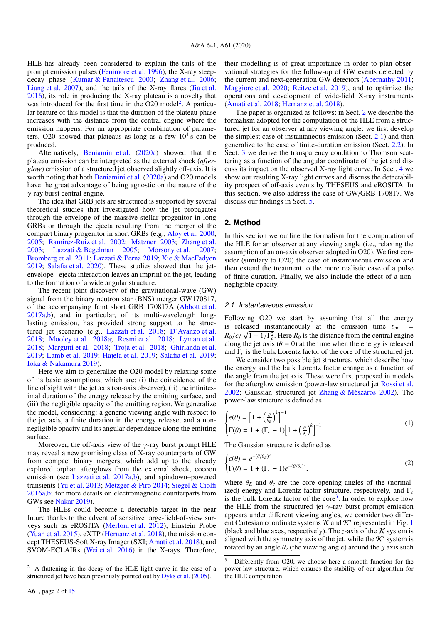HLE has already been considered to explain the tails of the prompt emission pulses [\(Fenimore et al.](#page-10-16) [1996\)](#page-10-16), the X-ray steepdecay phase [\(Kumar & Panaitescu](#page-10-17) [2000;](#page-10-17) [Zhang et al.](#page-11-3) [2006;](#page-11-3) [Liang et al.](#page-10-1) [2007\)](#page-10-1), and the tails of the X-ray flares [\(Jia et al.](#page-10-18) [2016\)](#page-10-18), its role in producing the X-ray plateau is a novelty that was introduced for the first time in the  $O20$  $O20$  $O20$  model<sup>2</sup>. A particular feature of this model is that the duration of the plateau phase increases with the distance from the central engine where the emission happens. For an appropriate combination of parameters, O20 showed that plateaus as long as a few  $10^4$  s can be produced.

Alternatively, [Beniamini et al.](#page-10-15) [\(2020a\)](#page-10-15) showed that the plateau emission can be interpreted as the external shock (*afterglow*) emission of a structured jet observed slightly off-axis. It is worth noting that both [Beniamini et al.](#page-10-15) [\(2020a\)](#page-10-15) and O20 models have the great advantage of being agnostic on the nature of the γ-ray burst central engine.

The idea that GRB jets are structured is supported by several theoretical studies that investigated how the jet propagates through the envelope of the massive stellar progenitor in long GRBs or through the ejecta resulting from the merger of the compact binary progenitor in short GRBs (e.g., [Aloy et al.](#page-10-19) [2000,](#page-10-19) [2005;](#page-10-20) [Ramirez-Ruiz et al.](#page-11-16) [2002;](#page-11-16) [Matzner](#page-10-21) [2003;](#page-10-21) [Zhang et al.](#page-11-17) [2003;](#page-11-17) [Lazzati & Begelman](#page-10-22) [2005;](#page-10-22) [Morsony et al.](#page-11-18) [2007;](#page-11-18) [Bromberg et al.](#page-10-23) [2011;](#page-10-23) [Lazzati & Perna](#page-10-24) [2019;](#page-10-24) [Xie & MacFadyen](#page-11-19) [2019;](#page-11-19) [Salafia et al.](#page-11-20) [2020\)](#page-11-20). These studies showed that the jetenvelope –ejecta interaction leaves an imprint on the jet, leading to the formation of a wide angular structure.

The recent joint discovery of the gravitational-wave (GW) signal from the binary neutron star (BNS) merger GW170817, of the accompanying faint short GRB 170817A [\(Abbott et al.](#page-10-25) [2017a,](#page-10-25)[b\)](#page-10-26), and in particular, of its multi-wavelength longlasting emission, has provided strong support to the structured jet scenario (e.g., [Lazzati et al.](#page-10-27) [2018;](#page-10-27) [D'Avanzo et al.](#page-10-28) [2018;](#page-10-28) [Mooley et al.](#page-11-21) [2018a;](#page-11-21) [Resmi et al.](#page-11-22) [2018;](#page-11-22) [Lyman et al.](#page-10-29) [2018;](#page-10-29) [Margutti et al.](#page-10-30) [2018;](#page-10-30) [Troja et al.](#page-11-23) [2018;](#page-11-23) [Ghirlanda et al.](#page-10-31) [2019;](#page-10-31) [Lamb et al.](#page-10-32) [2019;](#page-10-32) [Hajela et al.](#page-10-33) [2019;](#page-10-33) [Salafia et al.](#page-11-24) [2019;](#page-11-24) [Ioka & Nakamura](#page-10-34) [2019\)](#page-10-34).

Here we aim to generalize the O20 model by relaxing some of its basic assumptions, which are: (i) the coincidence of the line of sight with the jet axis (on-axis observer), (ii) the infinitesimal duration of the energy release by the emitting surface, and (iii) the negligible opacity of the emitting region. We generalize the model, considering: a generic viewing angle with respect to the jet axis, a finite duration in the energy release, and a nonnegligible opacity and its angular dependence along the emitting surface.

Moreover, the off-axis view of the  $\gamma$ -ray burst prompt HLE may reveal a new promising class of X-ray counterparts of GW from compact binary mergers, which add up to the already explored orphan afterglows from the external shock, cocoon emission (see [Lazzati et al.](#page-10-35) [2017a,](#page-10-35)[b\)](#page-10-36), and spindown–powered transients [\(Yu et al.](#page-11-25) [2013;](#page-11-25) [Metzger & Piro](#page-11-26) [2014;](#page-11-26) [Siegel & Ciolfi](#page-11-27) [2016a,](#page-11-27)[b;](#page-11-28) for more details on electromagnetic counterparts from GWs see [Nakar](#page-11-29) [2019\)](#page-11-29).

The HLEs could become a detectable target in the near future thanks to the advent of sensitive large-field-of-view surveys such as eROSITA [\(Merloni et al.](#page-10-37) [2012\)](#page-10-37), Einstein Probe [\(Yuan et al.](#page-11-30) [2015\)](#page-11-30), eXTP [\(Hernanz et al.](#page-10-38) [2018\)](#page-10-38), the mission concept THESEUS-Soft X-ray Imager (SXI; [Amati et al.](#page-10-39) [2018\)](#page-10-39), and SVOM-ECLAIRs [\(Wei et al.](#page-11-31) [2016\)](#page-11-31) in the X-rays. Therefore,

their modelling is of great importance in order to plan observational strategies for the follow-up of GW events detected by the current and next-generation GW detectors [\(Abernathy](#page-10-41) [2011;](#page-10-41) [Maggiore et al.](#page-10-42) [2020;](#page-10-42) [Reitze et al.](#page-11-32) [2019\)](#page-11-32), and to optimize the operations and development of wide-field X-ray instruments [\(Amati et al.](#page-10-39) [2018;](#page-10-39) [Hernanz et al.](#page-10-38) [2018\)](#page-10-38).

The paper is organized as follows: in Sect. [2](#page-1-1) we describe the formalism adopted for the computation of the HLE from a structured jet for an observer at any viewing angle: we first develop the simplest case of instantaneous emission (Sect. [2.1\)](#page-1-2) and then generalize to the case of finite-duration emission (Sect. [2.2\)](#page-3-0). In Sect. [3](#page-4-0) we derive the transparency condition to Thomson scattering as a function of the angular coordinate of the jet and discuss its impact on the observed X-ray light curve. In Sect. [4](#page-5-0) we show our resulting X-ray light curves and discuss the detectability prospect of off-axis events by THESEUS and eROSITA. In this section, we also address the case of GW/GRB 170817. We discuss our findings in Sect. [5.](#page-9-0)

## <span id="page-1-1"></span>**2. Method**

In this section we outline the formalism for the computation of the HLE for an observer at any viewing angle (i.e., relaxing the assumption of an on-axis observer adopted in O20). We first consider (similary to O20) the case of instantaneous emission and then extend the treatment to the more realistic case of a pulse of finite duration. Finally, we also include the effect of a nonnegligible opacity.

#### <span id="page-1-2"></span>2.1. Instantaneous emission

Following O20 we start by assuming that all the energy is released instantaneously at the emission time  $t_{em}$  $R_0/c/\sqrt{1-1/\Gamma_c^2}$ . Here  $R_0$  is the distance from the central engine along the jet axis  $(\theta = 0)$  at the time when the energy is released along the jet axis ( $\theta = 0$ ) at the time when the energy is released and  $\Gamma_c$  is the bulk Lorentz factor of the core of the structured jet.

We consider two possible jet structures, which describe how the energy and the bulk Lorentz factor change as a function of the angle from the jet axis. These were first proposed in models for the afterglow emission (power-law structured jet [Rossi et al.](#page-11-33) [2002;](#page-11-33) Gaussian structured jet [Zhang & Mészáros](#page-11-34) [2002\)](#page-11-34). The power-law structure is defined as

<span id="page-1-5"></span>
$$
\begin{cases} \epsilon(\theta) = \left[ 1 + \left( \frac{\theta}{\theta_E} \right)^k \right]^{-1} \\ \Gamma(\theta) = 1 + (\Gamma_c - 1) \left[ 1 + \left( \frac{\theta}{\theta_c} \right)^k \right]^{-1} . \end{cases} \tag{1}
$$

The Gaussian structure is defined as

<span id="page-1-4"></span>
$$
\begin{cases} \epsilon(\theta) = e^{-(\theta/\theta_E)^2} \\ \Gamma(\theta) = 1 + (\Gamma_c - 1)e^{-(\theta/\theta_c)^2}, \end{cases}
$$
 (2)

where  $\theta_E$  and  $\theta_c$  are the core opening angles of the (normalized) energy and Lorentz factor structure, respectively, and Γ*<sup>c</sup>* is the bulk Lorentz factor of the core<sup>[3](#page-1-3)</sup>. In order to explore how the HLE from the structured jet  $\gamma$ -ray burst prompt emission appears under different viewing angles, we consider two different Cartesian coordinate systems  $K$  and  $K'$  represented in Fig. [1](#page-2-0) (black and blue axes, respectively). The *z*-axis of the  $\kappa$  system is aligned with the symmetry axis of the jet, while the  $K'$  system is rotated by an angle  $\theta$ <sup>v</sup> (the viewing angle) around the *y* axis such

<span id="page-1-0"></span><sup>2</sup> A flattening in the decay of the HLE light curve in the case of a structured jet have been previously pointed out by [Dyks et al.](#page-10-40) [\(2005\)](#page-10-40).

<span id="page-1-3"></span>Differently from O20, we choose here a smooth function for the power-law structure, which ensures the stability of our algorithm for the HLE computation.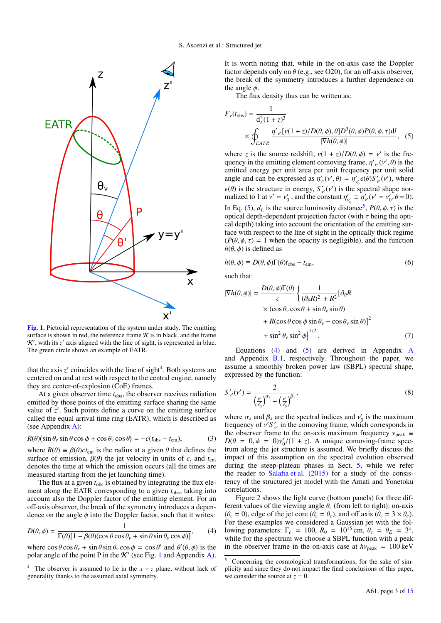

<span id="page-2-0"></span>[Fig. 1.](https://dexter.edpsciences.org/applet.php?DOI=10.1051/0004-6361/202038265&pdf_id=1) Pictorial representation of the system under study. The emitting surface is shown in red, the reference frame  $K$  is in black, and the frame  $\mathcal{K}'$ , with its  $z'$  axis aligned with the line of sight, is represented in blue. The green circle shows an example of EATR.

that the axis  $z'$  coincides with the line of sight<sup>[4](#page-2-1)</sup>. Both systems are centered on and at rest with respect to the central engine, namely they are center-of-explosion (CoE) frames.

At a given observer time  $t_{obs}$ , the observer receives radiation emitted by those points of the emitting surface sharing the same value of z'. Such points define a curve on the emitting surface called the equal arrival time ring (EATR), which is described as (see Appendix [A\)](#page-12-0):

$$
R(\theta)(\sin \theta_v \sin \theta \cos \phi + \cos \theta_v \cos \theta) = -c(t_{\text{obs}} - t_{\text{em}}),
$$
 (3)

where  $R(\theta) \equiv \beta(\theta)ct_{\text{em}}$  is the radius at a given  $\theta$  that defines the surface of emission  $\beta(\theta)$  the jet velocity in units of c and t<sub>re</sub> surface of emission,  $\beta(\theta)$  the jet velocity in units of *c*, and  $t_{em}$ denotes the time at which the emission occurs (all the times are measured starting from the jet launching time).

The flux at a given  $t_{\rm obs}$  is obtained by integrating the flux element along the EATR corresponding to a given  $t_{obs}$ , taking into account also the Doppler factor of the emitting element. For an off-axis observer, the break of the symmetry introduces a dependence on the angle  $\phi$  into the Doppler factor, such that it writes:

$$
D(\theta, \phi) = \frac{1}{\Gamma(\theta)[1 - \beta(\theta)(\cos\theta\cos\theta_v + \sin\theta\sin\theta_v\cos\phi)]},
$$
(4)

where  $\cos \theta \cos \theta_y + \sin \theta \sin \theta_y \cos \phi = \cos \theta'$  and  $\theta'(\theta, \phi)$  is the polar angle of the point P in the *K'* (see Fig. 1 and Appendix A) polar angle of the point P in the  $K'$  (see Fig. [1](#page-2-0) and Appendix [A\)](#page-12-0). It is worth noting that, while in the on-axis case the Doppler factor depends only on  $\theta$  (e.g., see O20), for an off-axis observer, the break of the symmetry introduces a further dependence on the angle  $\phi$ .

<span id="page-2-2"></span>The flux density thus can be written as:

$$
F_{\nu}(t_{\text{obs}}) = \frac{1}{d_L^2 (1+z)^3}
$$
  
 
$$
\times \oint_{EATR} \frac{\eta'_{\nu'}[\nu(1+z)/D(\theta,\phi),\theta]D^3(\theta,\phi)P(\theta,\phi,\tau)dl}{|\nabla h(\theta,\phi)|},
$$
 (5)

where *z* is the source redshift,  $v(1 + z)/D(\theta, \phi) = v'$  is the fre-<br>quency in the emitting element comoving frame  $p'$ ,  $(v' | \theta)$  is the quency in the emitting element comoving frame,  $\eta'_{v'}(v', \theta)$  is the emitted energy per unit area per unit frequency per unit solid emitted energy per unit area per unit frequency per unit solid angle and can be expressed as  $\eta'_{\nu}(\nu', \theta) = \eta'_{\nu} \epsilon(\theta) \dot{S}_{\nu}'(\nu')$ , where  $\epsilon(\theta)$  is the structure in energy,  $S'_{v'}(v')$  is the spectra malized to 1 at  $v' = v'$ , and the constant  $n' = n'$  ( $v'$ )  $v'_v(v')$  is the spectral shape nor-<br>onstant  $n' = n'$   $(v' = v'$ ,  $\theta = 0$ malized to 1 at  $v' = v'_0$ , and the constant  $\eta'_0$  $v'_{v'_0} \equiv \eta'_{v_0}$  $v'_{v'}(\nu' = \nu'_0, \theta = 0).$ In Eq. [\(5\)](#page-2-2),  $d_L$  is the source luminosity distance<sup>[5](#page-2-3)</sup>,  $P(\theta, \phi, \tau)$  is the optical depth-dependent projection factor (with  $\tau$  being the optioptical depth-dependent projection factor (with  $\tau$  being the optical depth) taking into account the orientation of the emitting surface with respect to the line of sight in the optically thick regime  $(P(\theta, \phi, \tau)) = 1$  when the opacity is negligible), and the function  $h(\theta, \phi)$  is defined as

$$
h(\theta, \phi) \equiv D(\theta, \phi) \Gamma(\theta) t_{\text{obs}} - t_{\text{em}},
$$
\n(6)

such that:

$$
|\nabla h(\theta,\phi)| = \frac{D(\theta,\phi)\Gamma(\theta)}{c} \left\{ \frac{1}{(\partial_{\theta}R)^{2} + R^{2}} [\partial_{\theta}R \times (\cos\theta_{\nu}\cos\theta + \sin\theta_{\nu}\sin\theta) + R(\cos\theta\cos\phi\sin\theta_{\nu} - \cos\theta_{\nu}\sin\theta)]^{2} + \sin^{2}\theta_{\nu}\sin^{2}\phi \right\}^{1/2}.
$$
 (7)

Equations [\(4\)](#page-2-4) and [\(5\)](#page-2-2) are derived in [A](#page-12-0)ppendix  $\overrightarrow{A}$ and Appendix [B.1,](#page-12-1) respectively. Throughout the paper, we assume a smoothly broken power law (SBPL) spectral shape, expressed by the function:

<span id="page-2-5"></span>
$$
S'_{\nu'}(\nu') = \frac{2}{\left(\frac{\nu'}{\nu'_0}\right)^{\alpha_s} + \left(\frac{\nu'}{\nu'_0}\right)^{\beta_s}},\tag{8}
$$

where  $\alpha_s$  and  $\beta_s$  are the spectral indices and  $v'_0$  is the maximum<br>frequency of  $v'S'$  in the comoving frame, which corresponds in frequency of  $v'S'_{v}$  in the comoving frame, which corresponds in<br>the observer frame to the on-axis maximum frequency  $y_{\text{sub}} =$ the observer frame to the on-axis maximum frequency  $v_{\text{peak}} \equiv D(\theta = 0, \phi = 0)v'/((1 + z))$ . A unique comoving-frame spec- $D(\theta = 0, \phi = 0) v_0' / (1 + z)$ . A unique comoving-frame spec-<br>trum along the jet structure is assumed. We briefly discuss the trum along the jet structure is assumed. We briefly discuss the impact of this assumption on the spectral evolution observed during the steep-plateau phases in Sect. [5,](#page-9-0) while we refer the reader to [Salafia et al.](#page-11-35)  $(2015)$  for a study of the consistency of the structured jet model with the Amati and Yonetoku correlations.

<span id="page-2-4"></span>Figure [2](#page-3-1) shows the light curve (bottom panels) for three different values of the viewing angle  $\theta_n$  (from left to right): on-axis  $(\theta_v = 0)$ , edge of the jet core  $(\theta_v = \theta_c)$ , and off axis  $(\theta_v = 3 \times \theta_c)$ . For these examples we considered a Gaussian jet with the following parameters:  $\Gamma_c = 100$ ,  $R_0 = 10^{15}$  cm,  $\theta_c = \theta_E = 3^{\circ}$ , while for the spectrum we choose a SBPL function with a peak while for the spectrum we choose a SBPL function with a peak in the observer frame in the on-axis case at  $h\nu_{\text{peak}} = 100 \text{ keV}$ 

<span id="page-2-1"></span><sup>&</sup>lt;sup>4</sup> The observer is assumed to lie in the  $x - z$  plane, without lack of generality thanks to the assumed axial symmetry.

<span id="page-2-3"></span><sup>5</sup> Concerning the cosmological transformations, for the sake of simplicity and since they do not impact the final conclusions of this paper, we consider the source at  $z = 0$ .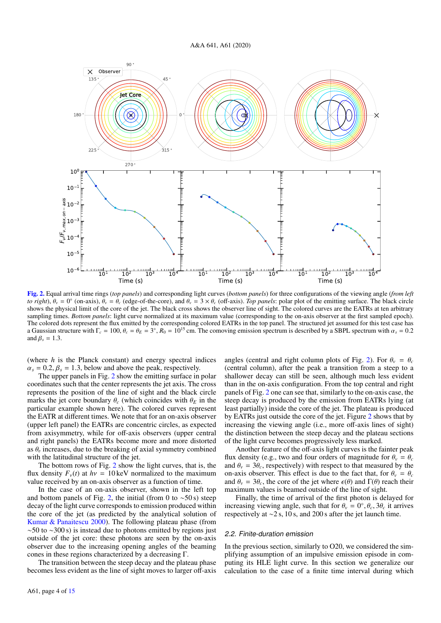

<span id="page-3-1"></span>[Fig. 2.](https://dexter.edpsciences.org/applet.php?DOI=10.1051/0004-6361/202038265&pdf_id=2) Equal arrival time rings (*top panels*) and corresponding light curves (*bottom panels*) for three configurations of the viewing angle (*from left to right*),  $\theta_v = 0^\circ$  (on-axis),  $\theta_v = \theta_c$  (edge-of-the-core), and  $\theta_v = 3 \times \theta_c$  (off-axis). *Top panels*: polar plot of the emitting surface. The black circle shows the physical limit of the core of the iet. The black shows the physical limit of the core of the jet. The black cross shows the observer line of sight. The colored curves are the EATRs at ten arbitrary sampling times. *Bottom panels*: light curve normalized at its maximum value (corresponding to the on-axis observer at the first sampled epoch). The colored dots represent the flux emitted by the corresponding colored EATRs in the top panel. The structured jet assumed for this test case has a Gaussian structure with  $\Gamma_c = 100$ ,  $\theta_c = \theta_E = 3^\circ$ ,  $R_0 = 10^{15}$  cm. The comoving emission spectrum is described by a SBPL spectrum with  $\alpha_s = 0.2$ and  $\beta<sub>s</sub> = 1.3$ .

(where *h* is the Planck constant) and energy spectral indices  $\alpha_s = 0.2$ ,  $\beta_s = 1.3$ , below and above the peak, respectively.

The upper panels in Fig. [2](#page-3-1) show the emitting surface in polar coordinates such that the center represents the jet axis. The cross represents the position of the line of sight and the black circle marks the jet core boundary  $\theta_c$  (which coincides with  $\theta_E$  in the particular example shown here). The colored curves represent the EATR at different times. We note that for an on-axis observer (upper left panel) the EATRs are concentric circles, as expected from axisymmetry, while for off-axis observers (upper central and right panels) the EATRs become more and more distorted as  $\theta_v$  increases, due to the breaking of axial symmetry combined with the latitudinal structure of the jet with the latitudinal structure of the jet.

The bottom rows of Fig. [2](#page-3-1) show the light curves, that is, the flux density  $F_v(t)$  at  $h\nu = 10 \,\text{keV}$  normalized to the maximum value received by an on-axis observer as a function of time.

In the case of an on-axis observer, shown in the left top and bottom panels of Fig. [2,](#page-3-1) the initial (from 0 to  $~50 s$ ) steep decay of the light curve corresponds to emission produced within the core of the jet (as predicted by the analytical solution of [Kumar & Panaitescu](#page-10-17) [2000\)](#page-10-17). The following plateau phase (from  $~\sim$ 50 to  $~\sim$ 300 s) is instead due to photons emitted by regions just outside of the jet core: these photons are seen by the on-axis observer due to the increasing opening angles of the beaming cones in these regions characterized by a decreasing Γ.

The transition between the steep decay and the plateau phase becomes less evident as the line of sight moves to larger off-axis

angles (central and right column plots of Fig. [2\)](#page-3-1). For  $\theta_v = \theta_c$ (central column), after the peak a transition from a steep to a shallower decay can still be seen, although much less evident than in the on-axis configuration. From the top central and right panels of Fig. [2](#page-3-1) one can see that, similarly to the on-axis case, the steep decay is produced by the emission from EATRs lying (at least partially) inside the core of the jet. The plateau is produced by EATRs just outside the core of the jet. Figure [2](#page-3-1) shows that by increasing the viewing angle (i.e., more off-axis lines of sight) the distinction between the steep decay and the plateau sections of the light curve becomes progressively less marked.

Another feature of the off-axis light curves is the fainter peak flux density (e.g., two and four orders of magnitude for  $\theta_v = \theta_c$ and  $\theta_v = 3\theta_c$ , respectively) with respect to that measured by the on-axis observer. This effect is due to the fact that, for  $\theta_v = \theta_c$ and  $\theta_v = 3\theta_c$ , the core of the jet where  $\epsilon(\theta)$  and  $\Gamma(\theta)$  reach their maximum values is beamed outside of the line of sight.

Finally, the time of arrival of the first photon is delayed for increasing viewing angle, such that for  $\theta_v = 0^\circ$ ,  $\theta_c$ ,  $3\theta_c$  it arrives respectively at  $\sim$  2 s 10 s and 200 s after the jet launch time respectively at <sup>∼</sup>2 s, 10 s, and 200 s after the jet launch time.

#### <span id="page-3-0"></span>2.2. Finite-duration emission

In the previous section, similarly to O20, we considered the simplifying assumption of an impulsive emission episode in computing its HLE light curve. In this section we generalize our calculation to the case of a finite time interval during which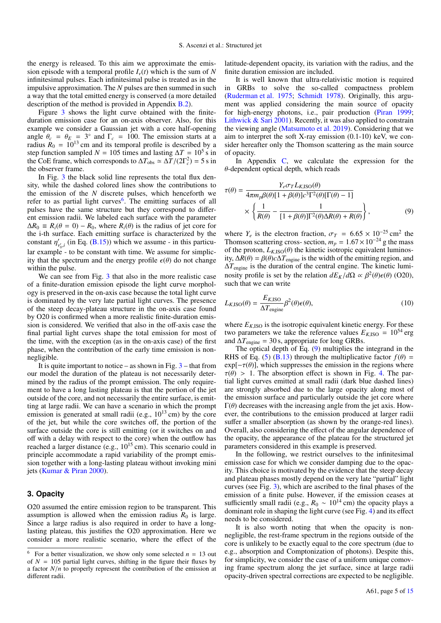the energy is released. To this aim we approximate the emission episode with a temporal profile  $I_{\nu}(t)$  which is the sum of N infinitesimal pulses. Each infinitesimal pulse is treated as in the impulsive approximation. The *N* pulses are then summed in such a way that the total emitted energy is conserved (a more detailed description of the method is provided in Appendix [B.2\)](#page-13-0).

Figure [3](#page-5-1) shows the light curve obtained with the finiteduration emission case for an on-axis observer. Also, for this example we consider a Gaussian jet with a core half-opening angle  $\theta_c = \theta_E = 3^\circ$  and  $\Gamma_c = 100$ . The emission starts at a radius  $R_0 = 10^{13}$  cm and its temporal profile is described by a radius  $R_0 = 10^{13}$  cm and its temporal profile is described by a step function sampled  $N = 105$  times and lasting  $\Delta T = 10^5$  s in the CoE frame, which corresponds to  $\Delta T_{obs} \simeq \Delta T/(2\Gamma_c^2) = 5 \text{ s in}$ <br>the observer frame the observer frame.

In Fig. [3](#page-5-1) the black solid line represents the total flux density, while the dashed colored lines show the contributions to the emission of the *N* discrete pulses, which henceforth we refer to as partial light curves<sup>[6](#page-4-1)</sup>. The emitting surfaces of all pulses have the same structure but they correspond to different emission radii. We labeled each surface with the parameter  $\Delta R_0 = R_i(\theta = 0) - R_0$ , where  $R_i(\theta)$  is the radius of jet core for the i-th surface. Each emitting surface is characterized by the constant  $\eta'_{\nu'_0,i}$  (in Eq. [\(B.15\)](#page-13-1)) which we assume - in this particular example - to be constant with time. We assume for simplicity that the spectrum and the energy profile  $\epsilon(\theta)$  do not change within the pulse.

We can see from Fig. [3](#page-5-1) that also in the more realistic case of a finite-duration emission episode the light curve morphology is preserved in the on-axis case because the total light curve is dominated by the very late partial light curves. The presence of the steep decay-plateau structure in the on-axis case found by O20 is confirmed when a more realistic finite-duration emission is considered. We verified that also in the off-axis case the final partial light curves shape the total emission for most of the time, with the exception (as in the on-axis case) of the first phase, when the contribution of the early time emission is nonnegligible.

It is quite important to notice – as shown in Fig.  $3$  – that from our model the duration of the plateau is not necessarily determined by the radius of the prompt emission. The only requirement to have a long lasting plateau is that the portion of the jet outside of the core, and not necessarily the entire surface, is emitting at large radii. We can have a scenario in which the prompt emission is generated at small radii (e.g.,  $10^{13}$  cm) by the core of the jet, but while the core switches off, the portion of the surface outside the core is still emitting (or it switches on and off with a delay with respect to the core) when the outflow has reached a larger distance (e.g.,  $10^{15}$  cm). This scenario could in principle accommodate a rapid variability of the prompt emission together with a long-lasting plateau without invoking mini jets [\(Kumar & Piran](#page-10-43) [2000\)](#page-10-43).

## <span id="page-4-0"></span>**3. Opacity**

O20 assumed the entire emission region to be transparent. This assumption is allowed when the emission radius  $R_0$  is large. Since a large radius is also required in order to have a longlasting plateau, this justifies the O20 approximation. Here we consider a more realistic scenario, where the effect of the latitude-dependent opacity, its variation with the radius, and the finite duration emission are included.

It is well known that ultra-relativistic motion is required in GRBs to solve the so-called compactness problem [\(Ruderman et al.](#page-11-36) [1975;](#page-11-36) [Schmidt](#page-11-37) [1978\)](#page-11-37). Originally, this argument was applied considering the main source of opacity for high-energy photons, i.e., pair production [\(Piran](#page-11-38) [1999;](#page-11-38) [Lithwick & Sari](#page-10-44) [2001\)](#page-10-44). Recently, it was also applied to constrain the viewing angle [\(Matsumoto et al.](#page-10-45) [2019\)](#page-10-45). Considering that we aim to interpret the soft X-ray emission (0.1-10) keV, we consider hereafter only the Thomson scattering as the main source of opacity.

In Appendix  $C$ , we calculate the expression for the  $\theta$ -dependent optical depth, which reads

<span id="page-4-2"></span>
$$
\tau(\theta) = \frac{Y_e \sigma_T L_{K,ISO}(\theta)}{4\pi m_p \beta(\theta) [1 + \beta(\theta)] c^3 \Gamma^2(\theta) [\Gamma(\theta) - 1]}
$$

$$
\times \left\{ \frac{1}{R(\theta)} - \frac{1}{[1 + \beta(\theta)] \Gamma^2(\theta) \Delta R(\theta) + R(\theta)} \right\},
$$
(9)

where  $Y_e$  is the electron fraction,  $\sigma_T = 6.65 \times 10^{-25}$  cm<sup>2</sup> the mass<br>Thomson scattering cross- section  $m_e = 1.67 \times 10^{-24}$  g the mass Thomson scattering cross- section,  $m_p = 1.67 \times 10^{-24}$  g the mass of the proton,  $L_{K,ISO}(\theta)$  the kinetic isotropic equivalent luminosity,  $\Delta R(\theta) = \beta(\theta)c\Delta T_{\text{engine}}$  is the width of the emitting region, and ∆*T*engine is the duration of the central engine. The kinetic luminosity profile is set by the relation  $dE_K/d\Omega \propto \beta^2(\theta)\epsilon(\theta)$  (O20), such that we can write such that we can write

$$
L_{K,\text{ISO}}(\theta) = \frac{E_{K,\text{ISO}}}{\Delta T_{\text{engine}}}\beta^2(\theta)\epsilon(\theta),\tag{10}
$$

where  $E_{K,ISO}$  is the isotropic equivalent kinetic energy. For these two parameters we take the reference values  $E_{K,ISO} = 10^{54}$  erg and  $\Delta T_{\text{engine}} = 30$  s, appropriate for long GRBs.

The optical depth of Eq. [\(9\)](#page-4-2) multiplies the integrand in the RHS of Eq. [\(5\)](#page-2-2) [\(B.13\)](#page-13-3) through the multiplicative factor  $f(\theta)$  =  $exp[-\tau(\theta)]$ , which suppresses the emission in the regions where  $\tau(\theta) > 1$ . The absorption effect is shown in Fig. [4.](#page-5-2) The partial light curves emitted at small radii (dark blue dashed lines) are strongly absorbed due to the large opacity along most of the emission surface and particularly outside the jet core where  $\Gamma(\theta)$  decreases with the increasing angle from the jet axis. However, the contributions to the emission produced at larger radii suffer a smaller absorption (as shown by the orange-red lines). Overall, also considering the effect of the angular dependence of the opacity, the appearance of the plateau for the structured jet parameters considered in this example is preserved.

In the following, we restrict ourselves to the infinitesimal emission case for which we consider damping due to the opacity. This choice is motivated by the evidence that the steep decay and plateau phases mostly depend on the very late "partial" light curves (see Fig. [3\)](#page-5-1), which are ascribed to the final phases of the emission of a finite pulse. However, if the emission ceases at sufficiently small radii (e.g.,  $R_0 \sim 10^{14}$  cm) the opacity plays a dominant role in shaping the light curve (see Fig. [4\)](#page-5-2) and its effect needs to be considered.

It is also worth noting that when the opacity is nonnegligible, the rest-frame spectrum in the regions outside of the core is unlikely to be exactly equal to the core spectrum (due to e.g., absorption and Comptonization of photons). Despite this, for simplicity, we consider the case of a uniform unique comoving frame spectrum along the jet surface, since at large radii opacity-driven spectral corrections are expected to be negligible.

<span id="page-4-1"></span><sup>&</sup>lt;sup>6</sup> For a better visualization, we show only some selected  $n = 13$  out of  $N = 105$  partial light curves, shifting in the figure their fluxes by a factor *<sup>N</sup>*/*<sup>n</sup>* to properly represent the contribution of the emission at different radii.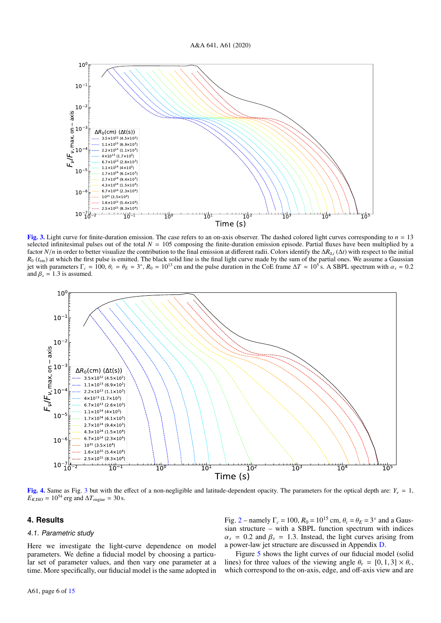

<span id="page-5-1"></span>[Fig. 3.](https://dexter.edpsciences.org/applet.php?DOI=10.1051/0004-6361/202038265&pdf_id=3) Light curve for finite-duration emission. The case refers to an on-axis observer. The dashed colored light curves corresponding to  $n = 13$ selected infinitesimal pulses out of the total  $N = 105$  composing the finite-duration emission episode. Partial fluxes have been multiplied by a factor *N*/*n* in order to better visualize the contribution to the final emission at different radii. Colors identify the  $\Delta R_{0,i}(\Delta t)$  with respect to the initial  $R_0$  ( $t_{\rm em}$ ) at which the first pulse is emitted. The black solid line is the final light curve made by the sum of the partial ones. We assume a Gaussian jet with parameters  $\Gamma_c = 100$ ,  $\theta_c = \theta_E = 3^\circ$ ,  $R_0 = 10^{13}$  cm and the pulse duration in the CoE frame  $\Delta T = 10^5$  s. A SBPL spectrum with  $\alpha_s = 0.2$ <br>and  $\beta_s = 1.3$  is assumed and  $\beta_s = 1.3$  is assumed.



<span id="page-5-2"></span>[Fig. 4.](https://dexter.edpsciences.org/applet.php?DOI=10.1051/0004-6361/202038265&pdf_id=4) Same as Fig. [3](#page-5-1) but with the effect of a non-negligible and latitude-dependent opacity. The parameters for the optical depth are:  $Y_e = 1$ ,  $E_{K,ISO} = 10^{54}$  erg and  $\Delta T_{engine} = 30$  s.

## <span id="page-5-0"></span>**4. Results**

#### 4.1. Parametric study

Here we investigate the light-curve dependence on model parameters. We define a fiducial model by choosing a particular set of parameter values, and then vary one parameter at a time. More specifically, our fiducial model is the same adopted in

Fig. [2](#page-3-1) – namely  $\Gamma_c = 100$ ,  $R_0 = 10^{15}$  cm,  $\theta_c = \theta_E = 3^\circ$  and a Gaussian structure – with a SBPL function spectrum with indices sian structure – with a SBPL function spectrum with indices  $\alpha_s$  = 0.2 and  $\beta_s$  = 1.3. Instead, the light curves arising from a power-law jet structure are discussed in Appendix [D.](#page-14-1)

Figure [5](#page-6-0) shows the light curves of our fiducial model (solid lines) for three values of the viewing angle  $\theta_v = [0, 1, 3] \times \theta_c$ , which correspond to the on-axis, edge, and off-axis view and are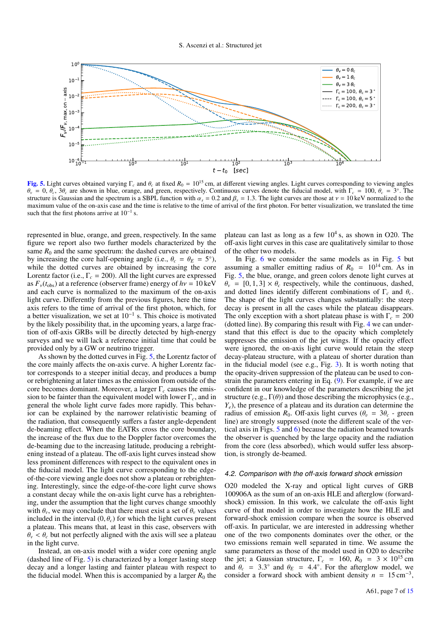

<span id="page-6-0"></span>[Fig. 5.](https://dexter.edpsciences.org/applet.php?DOI=10.1051/0004-6361/202038265&pdf_id=5) Light curves obtained varying  $\Gamma_c$  and  $\theta_c$  at fixed  $R_0 = 10^{15}$  cm, at different viewing angles. Light curves corresponding to viewing angles  $θ$ <sup>*y*</sup> = 0,  $θ$ <sub>*c*</sub>, 3 $θ$ <sub>*c*</sub> are shown in blue, orange, and green, respectively. Continuous curves denote the fiducial model, with  $Γ$ <sub>*c*</sub> = 100,  $θ$ <sub>*c*</sub> = 3<sup>o</sup>. The spectrum is a SBPL function with  $α$ , = 0.2 and structure is Gaussian and the spectrum is a SBPL function with  $\alpha_s = 0.2$  and  $\beta_s = 1.3$ . The light curves are those at  $v = 10$  keV normalized to the maximum value of the on-axis case and the time is relative to the time of arrival of the first photon. For better visualization, we translated the time such that the first photons arrive at  $10^{-1}$  s.

represented in blue, orange, and green, respectively. In the same figure we report also two further models characterized by the same  $R_0$  and the same spectrum: the dashed curves are obtained by increasing the core half-opening angle (i.e.,  $\theta_c = \theta_E = 5^\circ$ ), while the dotted curves are obtained by increasing the core while the dotted curves are obtained by increasing the core Lorentz factor (i.e.,  $\Gamma_c = 200$ ). All the light curves are expressed as  $F_v(t_{obs})$  at a reference (observer frame) energy of  $h\nu = 10 \text{ keV}$ and each curve is normalized to the maximum of the on-axis light curve. Differently from the previous figures, here the time axis refers to the time of arrival of the first photon, which, for a better visualization, we set at  $10^{-1}$  s. This choice is motivated by the likely possibility that, in the upcoming years, a large fraction of off-axis GRBs will be directly detected by high-energy surveys and we will lack a reference initial time that could be provided only by a GW or neutrino trigger.

As shown by the dotted curves in Fig. [5,](#page-6-0) the Lorentz factor of the core mainly affects the on-axis curve. A higher Lorentz factor corresponds to a steeper initial decay, and produces a bump or rebrightening at later times as the emission from outside of the core becomes dominant. Moreover, a larger Γ*<sup>c</sup>* causes the emission to be fainter than the equivalent model with lower Γ*c*, and in general the whole light curve fades more rapidly. This behavior can be explained by the narrower relativistic beaming of the radiation, that consequently suffers a faster angle-dependent de-beaming effect. When the EATRs cross the core boundary, the increase of the flux due to the Doppler factor overcomes the de-beaming due to the increasing latitude, producing a rebrightening instead of a plateau. The off-axis light curves instead show less prominent differences with respect to the equivalent ones in the fiducial model. The light curve corresponding to the edgeof-the-core viewing angle does not show a plateau or rebrightening. Interestingly, since the edge-of-the-core light curve shows a constant decay while the on-axis light curve has a rebrightening, under the assumption that the light curves change smoothly with  $\theta_\nu$ , we may conclude that there must exist a set of  $\theta_\nu$  values included in the interval  $(0, \theta_c)$  for which the light curves present a plateau. This means that, at least in this case, observers with  $\theta$ <sup>v</sup> <  $\theta$ <sup>c</sup> but not perfectly aligned with the axis will see a plateau in the light curve.

Instead, an on-axis model with a wider core opening angle (dashed line of Fig. [5\)](#page-6-0) is characterized by a longer lasting steep decay and a longer lasting and fainter plateau with respect to the fiducial model. When this is accompanied by a larger  $R_0$  the

plateau can last as long as a few  $10^4$  s, as shown in O20. The off-axis light curves in this case are qualitatively similar to those of the other two models.

In Fig. [6](#page-7-0) we consider the same models as in Fig. [5](#page-6-0) but assuming a smaller emitting radius of  $R_0 = 10^{14}$  cm. As in Fig. [5,](#page-6-0) the blue, orange, and green colors denote light curves at  $\theta$ <sup>*v*</sup> = [0, 1, 3]  $\times \theta$ <sup>*c*</sup> respectively, while the continuous, dashed, and dotted lines identify different combinations of <sup>Γ</sup>*<sup>c</sup>* and <sup>θ</sup>*<sup>c</sup>*. The shape of the light curves changes substantially: the steep decay is present in all the cases while the plateau disappears. The only exception with a short plateau phase is with  $\Gamma_c = 200$ (dotted line). By comparing this result with Fig. [4](#page-5-2) we can understand that this effect is due to the opacity which completely suppresses the emission of the jet wings. If the opacity effect were ignored, the on-axis light curve would retain the steep decay-plateau structure, with a plateau of shorter duration than in the fiducial model (see e.g., Fig. [3\)](#page-5-1). It is worth noting that the opacity-driven suppression of the plateau can be used to constrain the parameters entering in Eq. [\(9\)](#page-4-2). For example, if we are confident in our knowledge of the parameters describing the jet structure (e.g.,  $\Gamma(\theta)$ ) and those describing the microphysics (e.g.,  $Y_e$ ), the presence of a plateau and its duration can determine the radius of emission  $R_0$ . Off-axis light curves  $(\theta_v = 3\theta_c$  - green line) are strongly suppressed (note the different scale of the vertical axis in Figs. [5](#page-6-0) and [6\)](#page-7-0) because the radiation beamed towards the observer is quenched by the large opacity and the radiation from the core (less absorbed), which would suffer less absorption, is strongly de-beamed.

#### 4.2. Comparison with the off-axis forward shock emission

O20 modeled the X-ray and optical light curves of GRB 100906A as the sum of an on-axis HLE and afterglow (forwardshock) emission. In this work, we calculate the off-axis light curve of that model in order to investigate how the HLE and forward-shock emission compare when the source is observed off-axis. In particular, we are interested in addressing whether one of the two components dominates over the other, or the two emissions remain well separated in time. We assume the same parameters as those of the model used in O20 to describe the jet; a Gaussian structure,  $\Gamma_c = 160$ ,  $R_0 = 3 \times 10^{15}$  cm and  $\theta_c = 3.3^\circ$  and  $\theta_E = 4.4^\circ$ . For the afterglow model, we consider a forward shock with ambient density  $n = 15 \text{ cm}^{-3}$ consider a forward shock with ambient density  $n = 15 \text{ cm}^{-3}$ ,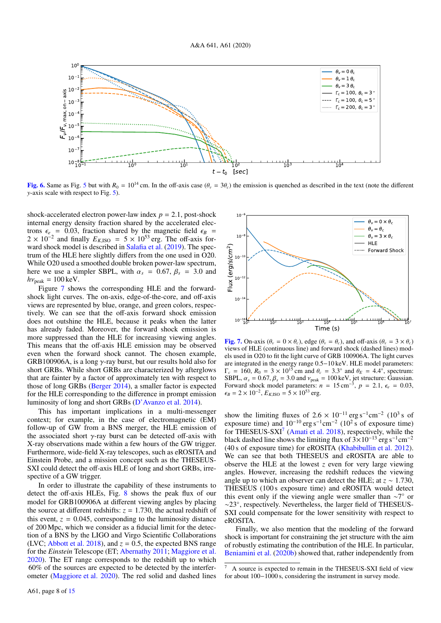

<span id="page-7-0"></span>[Fig. 6.](https://dexter.edpsciences.org/applet.php?DOI=10.1051/0004-6361/202038265&pdf_id=6) Same as Fig. [5](#page-6-0) but with  $R_0 = 10^{14}$  cm. In the off-axis case  $(\theta_v = 3\theta_c)$  the emission is quenched as described in the text (note the different *y*-axis scale with respect to Fig. [5\)](#page-6-0).

shock-accelerated electron power-law index  $p = 2.1$ , post-shock internal energy density fraction shared by the accelerated electrons  $\epsilon_e$  = 0.03, fraction shared by the magnetic field  $\epsilon_B$  =  $2 \times 10^{-2}$  and finally  $E_{K,ISO} = 5 \times 10^{53}$  erg. The off-axis for-<br>ward shock model is described in Salafia et al. (2010). The spec-ward shock model is described in [Salafia et al.](#page-11-24) [\(2019\)](#page-11-24). The spectrum of the HLE here slightly differs from the one used in O20. While O20 used a smoothed double broken power-law spectrum, here we use a simpler SBPL, with  $\alpha_s = 0.67$ ,  $\beta_s = 3.0$  and  $h\nu_{\text{peak}} = 100 \text{ keV}.$ 

Figure [7](#page-7-1) shows the corresponding HLE and the forwardshock light curves. The on-axis, edge-of-the-core, and off-axis views are represented by blue, orange, and green colors, respectively. We can see that the off-axis forward shock emission does not outshine the HLE, because it peaks when the latter has already faded. Moreover, the forward shock emission is more suppressed than the HLE for increasing viewing angles. This means that the off-axis HLE emission may be observed even when the forward shock cannot. The chosen example, GRB100906A, is a long  $\gamma$ -ray burst, but our results hold also for short GRBs. While short GRBs are characterized by afterglows that are fainter by a factor of approximately ten with respect to those of long GRBs [\(Berger](#page-10-46) [2014\)](#page-10-46), a smaller factor is expected for the HLE corresponding to the difference in prompt emission luminosity of long and short GRBs [\(D'Avanzo et al.](#page-10-47) [2014\)](#page-10-47).

This has important implications in a multi-messenger context; for example, in the case of electromagnetic (EM) follow-up of GW from a BNS merger, the HLE emission of the associated short  $\gamma$ -ray burst can be detected off-axis with X-ray observations made within a few hours of the GW trigger. Furthermore, wide-field X-ray telescopes, such as eROSITA and Einstein Probe, and a mission concept such as the THESEUS-SXI could detect the off-axis HLE of long and short GRBs, irrespective of a GW trigger.

In order to illustrate the capability of these instruments to detect the off-axis HLEs, Fig. [8](#page-8-0) shows the peak flux of our model for GRB100906A at different viewing angles by placing the source at different redshifts:  $z = 1.730$ , the actual redshift of this event,  $z = 0.045$ , corresponding to the luminosity distance of 200 Mpc, which we consider as a fiducial limit for the detection of a BNS by the LIGO and Virgo Scientific Collaborations (LVC; [Abbott et al.](#page-10-48) [2018\)](#page-10-48), and  $z = 0.5$ , the expected BNS range for the *Einstein* Telescope (ET; [Abernathy](#page-10-41) [2011;](#page-10-41) [Maggiore et al.](#page-10-42) [2020\)](#page-10-42). The ET range corresponds to the redshift up to which 60% of the sources are expected to be detected by the interferometer [\(Maggiore et al.](#page-10-42) [2020\)](#page-10-42). The red solid and dashed lines



<span id="page-7-1"></span>[Fig. 7.](https://dexter.edpsciences.org/applet.php?DOI=10.1051/0004-6361/202038265&pdf_id=7) On-axis ( $\theta_v = 0 \times \theta_c$ ), edge ( $\theta_v = \theta_c$ ), and off-axis ( $\theta_v = 3 \times \theta_c$ ) views of HLE (continuous line) and forward shock (dashed lines) models used in O20 to fit the light curve of GRB 100906A. The light curves are integrated in the energy range 0.5−10 keV. HLE model parameters:  $\Gamma_c = 160$ ,  $R_0 = 3 \times 10^{15}$  cm and  $\theta_c = 3.3^\circ$  and  $\theta_E = 4.4^\circ$ , spectrum:<br>SBPL  $\alpha = 0.67$   $\beta = 3.0$  and  $\nu_{\text{max}} = 100 \text{ keV}$  iet structure: Gaussian SBPL,  $\alpha_s = 0.67$ ,  $\beta_s = 3.0$  and  $v_{\text{peak}} = 100 \text{ keV}$ , jet structure: Gaussian.<br>Forward shock model parameters: *n* = 15 cm<sup>-3</sup>, *p* = 2.1,  $\epsilon_e = 0.03$ ,<br> $\epsilon_{\text{R}} = 2 \times 10^{-2}$  F<sub>KKS</sub> = 5 × 10<sup>53</sup> erg  $\epsilon_B = 2 \times 10^{-2}$ ,  $E_{K,ISO} = 5 \times 10^{53}$  erg.

show the limiting fluxes of  $2.6 \times 10^{-11}$  erg s<sup>-1</sup>cm<sup>-2</sup> (10<sup>3</sup> s of exposure time) exposure time) and  $10^{-10}$  erg s<sup>-1</sup>cm<sup>-2</sup> ( $10^2$  s of exposure time) for THESEUS-SXI<sup>[7](#page-7-2)</sup> [\(Amati et al.](#page-10-39) [2018\)](#page-10-39), respectively, while the black dashed line shows the limiting flux of  $3 \times 10^{-13}$  erg s<sup>-1</sup>cm<sup>-2</sup> (40 s of exposure time) for eROSITA [\(Khabibullin et al.](#page-10-49) [2012\)](#page-10-49). We can see that both THESEUS and eROSITA are able to observe the HLE at the lowest *z* even for very large viewing angles. However, increasing the redshift reduces the viewing angle up to which an observer can detect the HLE; at *<sup>z</sup>* <sup>∼</sup> <sup>1</sup>.730, THESEUS (100 s exposure time) and eROSITA would detect this event only if the viewing angle were smaller than ∼7 ◦ or ∼23◦ , respectively. Nevertheless, the larger field of THESEUS-SXI could compensate for the lower sensitivity with respect to eROSITA.

Finally, we also mention that the modeling of the forward shock is important for constraining the jet structure with the aim of robustly estimating the contribution of the HLE. In particular, [Beniamini et al.](#page-10-50) [\(2020b\)](#page-10-50) showed that, rather independently from

<span id="page-7-2"></span><sup>7</sup> A source is expected to remain in the THESEUS-SXI field of view for about 100−1000 s, considering the instrument in survey mode.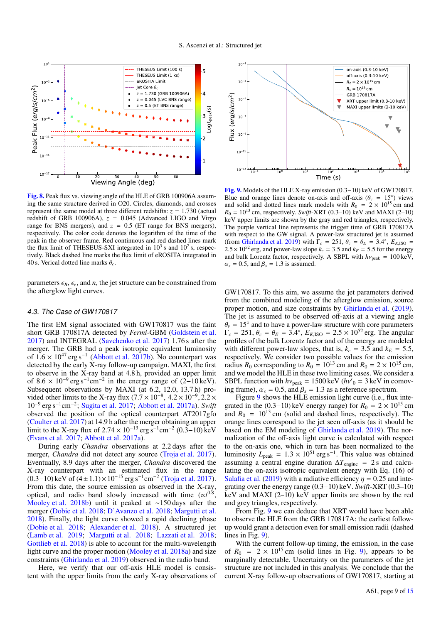

<span id="page-8-0"></span>[Fig. 8.](https://dexter.edpsciences.org/applet.php?DOI=10.1051/0004-6361/202038265&pdf_id=8) Peak flux vs. viewing angle of the HLE of GRB 100906A assuming the same structure derived in O20. Circles, diamonds, and crosses represent the same model at three different redshifts:  $z = 1.730$  (actual redshift of GRB 100906A),  $z = 0.045$  (Advanced LIGO and Virgo range for BNS mergers), and  $z = 0.5$  (ET range for BNS mergers), respectively. The color code denotes the logarithm of the time of the peak in the observer frame. Red continuous and red dashed lines mark the flux limit of THESEUS-SXI integrated in  $10^3$  s and  $10^2$  s, respectively. Black dashed line marks the flux limit of eROSITA integrated in 40 s. Verical dotted line marks <sup>θ</sup>*<sup>c</sup>* .

parameters  $\epsilon_B$ ,  $\epsilon_e$ , and *n*, the jet structure can be constrained from the afterglow light curves.

### 4.3. The Case of GW170817

The first EM signal associated with GW170817 was the faint short GRB 170817A detected by *Fermi*-GBM [\(Goldstein et al.](#page-10-51) [2017\)](#page-10-51) and INTEGRAL [\(Savchenko et al.](#page-11-39) [2017\)](#page-11-39) 1.76 s after the merger. The GRB had a peak isotropic equivalent luminosity of  $1.6 \times 10^{47}$  erg s<sup>-1</sup> [\(Abbott et al.](#page-10-26) [2017b\)](#page-10-26). No counterpart was<br>detected by the early X-ray follow-up campaign. MAXI, the first detected by the early X-ray follow-up campaign. MAXI, the first to observe in the X-ray band at 4.8 h, provided an upper limit of  $8.6 \times 10^{-9}$  erg s<sup>-1</sup> cm<sup>-2</sup> in the energy range of  $(2-10 \text{ keV})$ of  $8.6 \times 10^{-9}$  erg s<sup>-1</sup>cm<sup>-2</sup> in the energy range of (2–10 keV).<br>Subsequent observations by MAXI (at 6.2, 12.0, 13.7 h) pro-Subsequent observations by MAXI (at 6.2, 12.0, 13.7 h) pro-<br>vided other limits to the X-ray flux  $(7.7 \times 10^{-8} \text{ } 4.2 \times 10^{-9} \text{ } 2.2 \times$ vided other limits to the X-ray flux  $(7.7 \times 10^{-8}, 4.2 \times 10^{-9}, 2.2 \times 10^{-9} \text{ erg s}^{-1} \text{cm}^{-2} \cdot \text{Supita et al. } 2017$ ; Abbott et al. 2017a). Swift 10<sup>−</sup><sup>9</sup> erg s<sup>−</sup><sup>1</sup> cm<sup>−</sup><sup>2</sup> ; [Sugita et al.](#page-11-40) [2017;](#page-11-40) [Abbott et al.](#page-10-25) [2017a\)](#page-10-25). *Swift* observed the position of the optical counterpart AT2017gfo [\(Coulter et al.](#page-10-52) [2017\)](#page-10-52) at 14.9 h after the merger obtaining an upper limit to the X-ray flux of 2.74 × 10<sup>-13</sup> erg s<sup>-1</sup>cm<sup>-2</sup> (0.3–10) keV<br>(Evans et al. 2017: Abbott et al. 2017a) [\(Evans et al.](#page-10-53) [2017;](#page-10-53) [Abbott et al.](#page-10-25) [2017a\)](#page-10-25).

During early *Chandra* observations at 2.2 days after the merger, *Chandra* did not detect any source [\(Troja et al.](#page-11-41) [2017\)](#page-11-41). Eventually, 8.9 days after the merger, *Chandra* discovered the X-ray counterpart with an estimated flux in the range  $(0.3-10)$  keV of  $(4 \pm 1.1) \times 10^{-15}$  erg s<sup>-1</sup>cm<sup>-2</sup> [\(Troja et al.](#page-11-41) [2017\)](#page-11-41).<br>From this date, the source emission as observed in the X-ray From this date, the source emission as observed in the X-ray, optical, and radio band slowly increased with time  $(\alpha t^{0.8})$ , [Mooley et al.](#page-11-42) [2018b\)](#page-11-42) until it peaked at ∼150 days after the merger [\(Dobie et al.](#page-10-54) [2018;](#page-10-54) [D'Avanzo et al.](#page-10-28) [2018;](#page-10-28) [Margutti et al.](#page-10-30) [2018\)](#page-10-30). Finally, the light curve showed a rapid declining phase [\(Dobie et al.](#page-10-54) [2018;](#page-10-54) [Alexander et al.](#page-10-55) [2018\)](#page-10-55). A structured jet [\(Lamb et al.](#page-10-32) [2019;](#page-10-32) [Margutti et al.](#page-10-30) [2018;](#page-10-30) [Lazzati et al.](#page-10-27) [2018;](#page-10-27) [Gottlieb et al.](#page-10-56) [2018\)](#page-10-56) is able to account for the multi-wavelength light curve and the proper motion [\(Mooley et al.](#page-11-21) [2018a\)](#page-11-21) and size constraints [\(Ghirlanda et al.](#page-10-31) [2019\)](#page-10-31) observed in the radio band.

Here, we verify that our off-axis HLE model is consistent with the upper limits from the early X-ray observations of



<span id="page-8-1"></span>[Fig. 9.](https://dexter.edpsciences.org/applet.php?DOI=10.1051/0004-6361/202038265&pdf_id=9) Models of the HLE X-ray emission (0.3−10) keV of GW170817. Blue and orange lines denote on-axis and off-axis ( $\theta$ <sub>*v*</sub> = 15<sup>°</sup>) views and solid and dotted lines mark models with  $R_0 = 2 \times 10^{15}$  cm and and solid and dotted lines mark models with  $R_0 = 2 \times 10^{15}$  cm and  $R_0 = 10^{13}$  cm, respectively. *Swift*-XRT (0.3–10) keV and MAXI (2–10) keV upper limits are shown by the gray and red triangles, respectively. The purple vertical line represents the trigger time of GRB 170817A with respect to the GW signal. A power-law structured jet is assumed (from [Ghirlanda et al.](#page-10-31) [2019\)](#page-10-31) with  $\Gamma_c = 251$ ,  $\theta_c = \theta_E = 3.4^\circ$ ,  $E_{K,ISO} = 2.5 \times 10^{52}$  erg and nower-law slope  $k = 3.5$  and  $k_E = 5.5$  for the energy  $2.5 \times 10^{52}$  erg, and power-law slope  $k_c = 3.5$  and  $k_E = 5.5$  for the energy and bulk Lorentz factor, respectively. A SBPL with  $h\nu_{\text{peak}} = 100 \text{ keV}$ ,  $\alpha_s = 0.5$ , and  $\beta_s = 1.3$  is assumed.

GW170817. To this aim, we assume the jet parameters derived from the combined modeling of the afterglow emission, source proper motion, and size constraints by [Ghirlanda et al.](#page-10-31) [\(2019\)](#page-10-31). The jet is assumed to be observed off-axis at a viewing angle  $\theta_v = 15^\circ$  and to have a power-law structure with core parameters  $\Gamma_v = 251$   $\theta_v = \theta_E = 3.4^\circ$   $E_{VISO} = 2.5 \times 10^{52}$  erg. The angular  $\Gamma_c = 251$ ,  $\theta_c = \theta_E = 3.4^\circ$ ,  $E_{K,ISO} = 2.5 \times 10^{52}$  erg. The angular profiles of the bulk Lorentz factor and of the energy are modeled profiles of the bulk Lorentz factor and of the energy are modeled with different power-law slopes, that is,  $k_c = 3.5$  and  $k_E = 5.5$ , respectively. We consider two possible values for the emission radius  $R_0$  corresponding to  $R_0 = 10^{13}$  cm and  $R_0 = 2 \times 10^{15}$  cm, and we model the HLE in these two limiting cases. We consider a SBPL function with  $h\nu_{\text{peak}} = 1500 \text{ keV}$  ( $h\nu'_{0} = 3 \text{ keV}$  in comov-<br>ing frame)  $\rho_{\text{c}} = 0.5$  and  $\beta_{\text{c}} = 1.3$  as a reference spectrum ing frame),  $\alpha_s = 0.5$ , and  $\beta_s = 1.3$  as a reference spectrum.

Figure [9](#page-8-1) shows the HLE emission light curve (i.e., flux integrated in the (0.3–10) keV energy range) for  $R_0 = 2 \times 10^{15}$  cm and  $R_0 = 10^{13}$  cm (solid and dashed lines, respectively). The orange lines correspond to the jet seen off-axis (as it should be based on the EM modeling of [Ghirlanda et al.](#page-10-31) [2019\)](#page-10-31). The normalization of the off-axis light curve is calculated with respect to the on-axis one, which in turn has been normalized to the luminosity  $L_{\text{peak}} = 1.3 \times 10^{51} \text{ erg s}^{-1}$ . This value was obtained assuming a central engine duration  $\Delta T_{\text{resine}} = 2$ s and calcuassuming a central engine duration  $\Delta T_{\text{engine}} = 2 \text{ s}$  and calculating the on-axis isotropic equivalent energy with Eq. (16) of [Salafia et al.](#page-11-24) [\(2019\)](#page-11-24) with a radiative efficiency  $\eta = 0.25$  and integrating over the energy range (0.3−10) keV. *Swift*-XRT (0.3–10) keV and MAXI (2–10) keV upper limits are shown by the red and grey triangles, respectively.

From Fig. [9](#page-8-1) we can deduce that XRT would have been able to observe the HLE from the GRB 170817A: the earliest followup would grant a detection even for small emission radii (dashed lines in Fig. [9\)](#page-8-1).

With the current follow-up timing, the emission, in the case of  $R_0$  = 2 × 10<sup>15</sup> cm (solid lines in Fig. [9\)](#page-8-1), appears to be marginally detectable. Uncertainty on the parameters of the jet structure are not included in this analysis. We conclude that the current X-ray follow-up observations of GW170817, starting at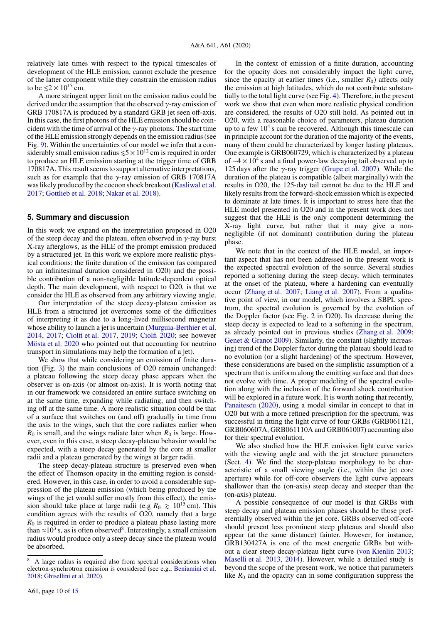relatively late times with respect to the typical timescales of development of the HLE emission, cannot exclude the presence of the latter component while they constrain the emission radius to be  $\leq 2 \times 10^{15}$  cm.

A more stringent upper limit on the emission radius could be derived under the assumption that the observed  $\gamma$ -ray emission of GRB 170817A is produced by a standard GRB jet seen off-axis. In this case, the first photons of the HLE emission should be coincident with the time of arrival of the  $\gamma$ -ray photons. The start time of the HLE emission strongly depends on the emission radius (see Fig. [9\)](#page-8-1). Within the uncertainties of our model we infer that a considerably small emission radius  $\leq 5 \times 10^{12}$  cm is required in order to produce an HLE emission starting at the trigger time of GRB 170817A. This result seems to support alternative interpretations, such as for example that the  $\gamma$ -ray emission of GRB 170817A was likely produced by the cocoon shock breakout [\(Kasliwal et al.](#page-10-57) [2017;](#page-10-57) [Gottlieb et al.](#page-10-56) [2018;](#page-10-56) [Nakar et al.](#page-11-43) [2018\)](#page-11-43).

#### <span id="page-9-0"></span>**5. Summary and discussion**

In this work we expand on the interpretation proposed in O20 of the steep decay and the plateau, often observed in  $\gamma$ -ray burst X-ray afterglows, as the HLE of the prompt emission produced by a structured jet. In this work we explore more realistic physical conditions: the finite duration of the emission (as compared to an infinitesimal duration considered in O20) and the possible contribution of a non-negligible latitude-dependent optical depth. The main development, with respect to O20, is that we consider the HLE as observed from any arbitrary viewing angle.

Our interpretation of the steep decay-plateau emission as HLE from a structured jet overcomes some of the difficulties of interpreting it as due to a long-lived millisecond magnetar whose ability to launch a jet is uncertain [\(Murguia-Berthier et al.](#page-11-44) [2014,](#page-11-44) [2017;](#page-11-45) [Ciolfi et al.](#page-10-58) [2017,](#page-10-58) [2019;](#page-10-59) [Ciolfi](#page-10-60) [2020;](#page-10-60) see however [Mösta et al.](#page-11-46) [2020](#page-11-46) who pointed out that accounting for neutrino transport in simulations may help the formation of a jet).

We show that while considering an emission of finite duration (Fig. [3\)](#page-5-1) the main conclusions of O20 remain unchanged: a plateau following the steep decay phase appears when the observer is on-axis (or almost on-axis). It is worth noting that in our framework we considered an entire surface switching on at the same time, expanding while radiating, and then switching off at the same time. A more realistic situation could be that of a surface that switches on (and off) gradually in time from the axis to the wings, such that the core radiates earlier when  $R_0$  is small, and the wings radiate later when  $R_0$  is large. However, even in this case, a steep decay-plateau behavior would be expected, with a steep decay generated by the core at smaller radii and a plateau generated by the wings at larger radii.

The steep decay-plateau structure is preserved even when the effect of Thomson opacity in the emitting region is considered. However, in this case, in order to avoid a considerable suppression of the plateau emission (which being produced by the wings of the jet would suffer mostly from this effect), the emission should take place at large radii (e.g  $R_0 \ge 10^{15}$  cm). This condition agrees with the results of O20, namely that a large *R*<sup>0</sup> is required in order to produce a plateau phase lasting more than  $\approx 10^3$  s, as is often observed<sup>[8](#page-9-1)</sup>. Interestingly, a small emission radius would produce only a steep decay since the plateau would be absorbed.

In the context of emission of a finite duration, accounting for the opacity does not considerably impact the light curve, since the opacity at earlier times (i.e., smaller  $R_0$ ) affects only the emission at high latitudes, which do not contribute substantially to the total light curve (see Fig. [4\)](#page-5-2). Therefore, in the present work we show that even when more realistic physical condition are considered, the results of O20 still hold. As pointed out in O20, with a reasonable choice of parameters, plateau duration up to a few  $10^4$  s can be recovered. Although this timescale can in principle account for the duration of the majority of the events, many of them could be characterized by longer lasting plateaus. One example is GRB060729, which is characterized by a plateau of  $\sim$ 4 × 10<sup>4</sup> s and a final power-law decaying tail observed up to 125 days after the  $\gamma$ -ray trigger [\(Grupe et al.](#page-10-63) [2007\)](#page-10-63). While the duration of the plateau is compatible (albeit marginally) with the results in O20, the 125-day tail cannot be due to the HLE and likely results from the forward-shock emission which is expected to dominate at late times. It is important to stress here that the HLE model presented in O20 and in the present work does not suggest that the HLE is the only component determining the X-ray light curve, but rather that it may give a nonnegligible (if not dominant) contribution during the plateau phase.

We note that in the context of the HLE model, an important aspect that has not been addressed in the present work is the expected spectral evolution of the source. Several studies reported a softening during the steep decay, which terminates at the onset of the plateau, where a hardening can eventually occur [\(Zhang et al.](#page-11-47) [2007;](#page-11-47) [Liang et al.](#page-10-1) [2007\)](#page-10-1). From a qualitative point of view, in our model, which involves a SBPL spectrum, the spectral evolution is governed by the evolution of the Doppler factor (see Fig. 2 in O20). Its decrease during the steep decay is expected to lead to a softening in the spectrum, as already pointed out in previous studies [\(Zhang et al.](#page-11-48) [2009;](#page-11-48) [Genet & Granot](#page-10-64) [2009\)](#page-10-64). Similarly, the constant (slightly increasing) trend of the Doppler factor during the plateau should lead to no evolution (or a slight hardening) of the spectrum. However, these considerations are based on the simplistic assumption of a spectrum that is uniform along the emitting surface and that does not evolve with time. A proper modeling of the spectral evolution along with the inclusion of the forward shock contribution will be explored in a future work. It is worth noting that recently, [Panaitescu](#page-11-49) [\(2020\)](#page-11-49), using a model similar in concept to that in O20 but with a more refined prescription for the spectrum, was successful in fitting the light curve of four GRBs (GRB061121, GRB060607A, GRB061110A and GRB061007) accounting also for their spectral evolution.

We also studied how the HLE emission light curve varies with the viewing angle and with the jet structure parameters (Sect. [4\)](#page-5-0). We find the steep-plateau morphology to be characteristic of a small viewing angle (i.e., within the jet core aperture) while for off-core observers the light curve appears shallower than the (on-axis) steep decay and steeper than the (on-axis) plateau.

A possible consequence of our model is that GRBs with steep decay and plateau emission phases should be those preferentially observed within the jet core. GRBs observed off-core should present less prominent steep plateaus and should also appear (at the same distance) fainter. However, for instance, GRB130427A is one of the most energetic GRBs but without a clear steep decay-plateau light curve [\(von Kienlin](#page-11-50) [2013;](#page-11-50) [Maselli et al.](#page-10-65) [2013,](#page-10-65) [2014\)](#page-10-66). However, while a detailed study is beyond the scope of the present work, we notice that parameters like  $R_0$  and the opacity can in some configuration suppress the

<span id="page-9-1"></span><sup>8</sup> A large radius is required also from spectral considerations when electron-synchrotron emission is considered (see e.g., [Beniamini et al.](#page-10-61) [2018;](#page-10-61) [Ghisellini et al.](#page-10-62) [2020\)](#page-10-62).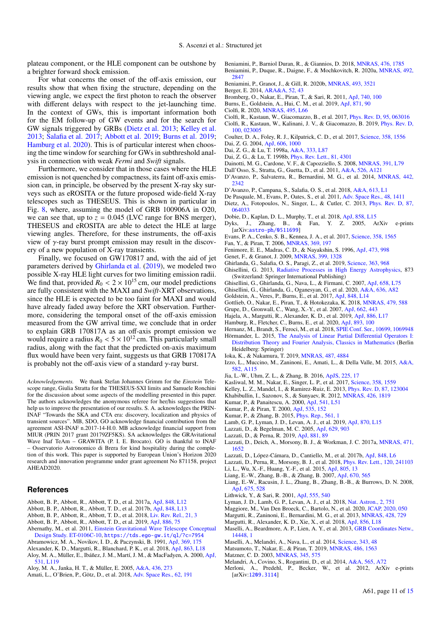plateau component, or the HLE component can be outshone by a brighter forward shock emission.

For what concerns the onset of the off-axis emission, our results show that when fixing the structure, depending on the viewing angle, we expect the first photon to reach the observer with different delays with respect to the jet-launching time. In the context of GWs, this is important information both for the EM follow-up of GW events and for the search for GW signals triggered by GRBs [\(Dietz et al.](#page-10-67) [2013;](#page-10-67) [Kelley et al.](#page-10-68) [2013;](#page-10-68) [Salafia et al.](#page-11-51) [2017;](#page-11-51) [Abbott et al.](#page-10-69) [2019;](#page-10-69) [Burns et al.](#page-10-70) [2019;](#page-10-70) [Hamburg et al.](#page-10-71) [2020\)](#page-10-71). This is of particular interest when choosing the time window for searching for GWs in subthreshold analysis in connection with weak *Fermi* and *Swift* signals.

Furthermore, we consider that in those cases where the HLE emission is not quenched by compactness, its faint off-axis emission can, in principle, be observed by the present X-ray sky surveys such as eROSITA or the future proposed wide-field X-ray telescopes such as THESEUS. This is shown in particular in Fig. [8,](#page-8-0) where, assuming the model of GRB 100906A in O20, we can see that, up to  $z = 0.045$  (LVC range for BNS merger), THESEUS and eROSITA are able to detect the HLE at large viewing angles. Therefore, for these instruments, the off-axis view of  $γ$ -ray burst prompt emission may result in the discovery of a new population of X-ray transients.

Finally, we focused on GW170817 and, with the aid of jet parameters derived by [Ghirlanda et al.](#page-10-31) [\(2019\)](#page-10-31), we modeled two possible X-ray HLE light curves for two limiting emission radii. We find that, provided  $R_0 < 2 \times 10^{15}$  cm, our model predictions are fully consistent with the MAXI and *Swift*-XRT observations, since the HLE is expected to be too faint for MAXI and would have already faded away before the XRT observation. Furthermore, considering the temporal onset of the off-axis emission measured from the GW arrival time, we conclude that in order to explain GRB 170817A as an off-axis prompt emission we would require a radius  $R_0 < 5 \times 10^{12}$  cm. This particularly small radius, along with the fact that the predicted on-axis maximum flux would have been very faint, suggests us that GRB 170817A is probably not the off-axis view of a standard  $\gamma$ -ray burst.

*Acknowledgements.* We thank Stefan Johannes Grimm for the *Einstein* Telescope range, Giulia Stratta for the THESEUS-SXI limits and Samuele Ronchini for the discussion about some aspects of the modelling presented in this paper. The authors acknowledges the anonymous referee for her/his suggestions that help us to improve the presentation of our results. S. A. acknowledges the PRIN-INAF "Towards the SKA and CTA era: discovery, localization and physics of transient sources". MB, SDO, GO acknowledge financial contribution from the agreement ASI-INAF n.2017-14-H.0. MB acknowledge financial support from MIUR (PRIN 2017 grant 20179ZF5KS). SA acknowledges the GRAvitational Wave Inaf TeAm – GRAWITA (P. I. E. Brocato). GO is thankful to INAF – Osservatorio Astronomico di Brera for kind hospitality during the completion of this work. This paper is supported by European Union's Horizon 2020 research and innovation programme under grant agreement No 871158, project AHEAD2020.

### **References**

- <span id="page-10-25"></span>Abbott, B. P., Abbott, R., Abbott, T. D., et al. 2017a, [ApJ, 848, L12](http://linker.aanda.org/10.1051/0004-6361/202038265/1)
- <span id="page-10-42"></span><span id="page-10-30"></span><span id="page-10-26"></span><span id="page-10-13"></span>Abbott, B. P., Abbott, R., Abbott, T. D., et al. 2017b, [ApJ, 848, L13](http://linker.aanda.org/10.1051/0004-6361/202038265/2)
- <span id="page-10-48"></span>Abbott, B. P., Abbott, R., Abbott, T. D., et al. 2018, [Liv. Rev. Rel., 21, 3](http://linker.aanda.org/10.1051/0004-6361/202038265/3)
- <span id="page-10-69"></span>Abbott, B. P., Abbott, R., Abbott, T. D., et al. 2019, [ApJ, 886, 75](http://linker.aanda.org/10.1051/0004-6361/202038265/4)
- <span id="page-10-65"></span><span id="page-10-41"></span>Abernathy, M., et al. 2011, [Einstein Gravitational Wave Telescope Conceptual](http://linker.aanda.org/10.1051/0004-6361/202038265/5) [Design Study. ET-0106C-10,](http://linker.aanda.org/10.1051/0004-6361/202038265/5) <https://tds.ego-gw.it/ql/?c=7954> Abramowicz, M. A., Novikov, I. D., & Paczynski, B. 1991, [ApJ, 369, 175](http://linker.aanda.org/10.1051/0004-6361/202038265/6)
- <span id="page-10-74"></span><span id="page-10-66"></span><span id="page-10-55"></span><span id="page-10-45"></span>Alexander, K. D., Margutti, R., Blanchard, P. K., et al. 2018, [ApJ, 863, L18](http://linker.aanda.org/10.1051/0004-6361/202038265/7)
- <span id="page-10-21"></span><span id="page-10-19"></span>Aloy, M. A., Müller, E., Ibáñez, J. M., Martí, J. M., & MacFadyen, A. 2000, [ApJ,](http://linker.aanda.org/10.1051/0004-6361/202038265/8) [531, L119](http://linker.aanda.org/10.1051/0004-6361/202038265/8)
- <span id="page-10-37"></span><span id="page-10-20"></span><span id="page-10-6"></span>Aloy, M. A., Janka, H. T., & Müller, E. 2005, [A&A, 436, 273](http://linker.aanda.org/10.1051/0004-6361/202038265/9)
- <span id="page-10-39"></span>Amati, L., O'Brien, P., Götz, D., et al. 2018, [Adv. Space Res., 62, 191](http://linker.aanda.org/10.1051/0004-6361/202038265/10)
- <span id="page-10-61"></span><span id="page-10-15"></span>Beniamini, P., Barniol Duran, R., & Giannios, D. 2018, [MNRAS, 476, 1785](http://linker.aanda.org/10.1051/0004-6361/202038265/11) Beniamini, P., Duque, R., Daigne, F., & Mochkovitch, R. 2020a, [MNRAS, 492,](http://linker.aanda.org/10.1051/0004-6361/202038265/12) [2847](http://linker.aanda.org/10.1051/0004-6361/202038265/12)
- <span id="page-10-50"></span>Beniamini, P., Granot, J., & Gill, R. 2020b, [MNRAS, 493, 3521](http://linker.aanda.org/10.1051/0004-6361/202038265/13)
- <span id="page-10-46"></span>Berger, E. 2014, [ARA&A, 52, 43](http://linker.aanda.org/10.1051/0004-6361/202038265/14)
- <span id="page-10-23"></span>Bromberg, O., Nakar, E., Piran, T., & Sari, R. 2011, [ApJ, 740, 100](http://linker.aanda.org/10.1051/0004-6361/202038265/15)
- <span id="page-10-70"></span>Burns, E., Goldstein, A., Hui, C. M., et al. 2019, [ApJ, 871, 90](http://linker.aanda.org/10.1051/0004-6361/202038265/16)
- <span id="page-10-60"></span>Ciolfi, R. 2020, [MNRAS, 495, L66](http://linker.aanda.org/10.1051/0004-6361/202038265/17)
- <span id="page-10-59"></span><span id="page-10-58"></span>Ciolfi, R., Kastaun, W., Giacomazzo, B., et al. 2017, [Phys. Rev. D, 95, 063016](http://linker.aanda.org/10.1051/0004-6361/202038265/18) Ciolfi, R., Kastaun, W., Kalinani, J. V., & Giacomazzo, B. 2019, [Phys. Rev. D,](http://linker.aanda.org/10.1051/0004-6361/202038265/19) [100, 023005](http://linker.aanda.org/10.1051/0004-6361/202038265/19)
- <span id="page-10-52"></span><span id="page-10-10"></span>Coulter, D. A., Foley, R. J., Kilpatrick, C. D., et al. 2017, [Science, 358, 1556](http://linker.aanda.org/10.1051/0004-6361/202038265/20) Dai, Z. G. 2004, [ApJ, 606, 1000](http://linker.aanda.org/10.1051/0004-6361/202038265/21)
- <span id="page-10-8"></span>Dai, Z. G., & Lu, T. 1998a, [A&A, 333, L87](http://linker.aanda.org/10.1051/0004-6361/202038265/22)
- <span id="page-10-9"></span>Dai, Z. G., & Lu, T. 1998b, [Phys. Rev. Lett., 81, 4301](http://linker.aanda.org/10.1051/0004-6361/202038265/23)
- <span id="page-10-12"></span>Dainotti, M. G., Cardone, V. F., & Capozziello, S. 2008, [MNRAS, 391, L79](http://linker.aanda.org/10.1051/0004-6361/202038265/24)
- <span id="page-10-11"></span>Dall'Osso, S., Stratta, G., Guetta, D., et al. 2011, [A&A, 526, A121](http://linker.aanda.org/10.1051/0004-6361/202038265/25)
- <span id="page-10-47"></span>D'Avanzo, P., Salvaterra, R., Bernardini, M. G., et al. 2014, [MNRAS, 442,](http://linker.aanda.org/10.1051/0004-6361/202038265/26) [2342](http://linker.aanda.org/10.1051/0004-6361/202038265/26)
- <span id="page-10-28"></span>D'Avanzo, P., Campana, S., Salafia, O. S., et al. 2018, [A&A, 613, L1](http://linker.aanda.org/10.1051/0004-6361/202038265/27)
- <span id="page-10-5"></span>De Pasquale, M., Evans, P., Oates, S., et al. 2011, [Adv. Space Res., 48, 1411](http://linker.aanda.org/10.1051/0004-6361/202038265/28)
- <span id="page-10-67"></span>Dietz, A., Fotopoulos, N., Singer, L., & Cutler, C. 2013, [Phys. Rev. D, 87,](http://linker.aanda.org/10.1051/0004-6361/202038265/29) [064033](http://linker.aanda.org/10.1051/0004-6361/202038265/29)
- <span id="page-10-54"></span>Dobie, D., Kaplan, D. L., Murphy, T., et al. 2018, [ApJ, 858, L15](http://linker.aanda.org/10.1051/0004-6361/202038265/30)
- <span id="page-10-40"></span>Dyks, J., Zhang, B., & Fan, Y. Z. 2005, ArXiv e-prints [arXiv:[astro-ph/0511699](https://arxiv.org/abs/astro-ph/0511699)]
- <span id="page-10-53"></span>Evans, P. A., Cenko, S. B., Kennea, J. A., et al. 2017, [Science, 358, 1565](http://linker.aanda.org/10.1051/0004-6361/202038265/32)
- <span id="page-10-2"></span>Fan, Y., & Piran, T. 2006, [MNRAS, 369, 197](http://linker.aanda.org/10.1051/0004-6361/202038265/33)
- <span id="page-10-16"></span>Fenimore, E. E., Madras, C. D., & Nayakshin, S. 1996, [ApJ, 473, 998](http://linker.aanda.org/10.1051/0004-6361/202038265/34)
- <span id="page-10-64"></span>Genet, F., & Granot, J. 2009, [MNRAS, 399, 1328](http://linker.aanda.org/10.1051/0004-6361/202038265/35)
- <span id="page-10-31"></span>Ghirlanda, G., Salafia, O. S., Paragi, Z., et al. 2019, [Science, 363, 968](http://linker.aanda.org/10.1051/0004-6361/202038265/36)
- <span id="page-10-72"></span>Ghisellini, G. 2013, [Radiative Processes in High Energy Astrophysics,](http://linker.aanda.org/10.1051/0004-6361/202038265/37) 873 (Switzerland: Springer International Publishing)
- <span id="page-10-3"></span>Ghisellini, G., Ghirlanda, G., Nava, L., & Firmani, C. 2007, [ApJ, 658, L75](http://linker.aanda.org/10.1051/0004-6361/202038265/38)
- <span id="page-10-62"></span>Ghisellini, G., Ghirlanda, G., Oganesyan, G., et al. 2020, [A&A, 636, A82](http://linker.aanda.org/10.1051/0004-6361/202038265/39)
- <span id="page-10-51"></span>Goldstein, A., Veres, P., Burns, E., et al. 2017, [ApJ, 848, L14](http://linker.aanda.org/10.1051/0004-6361/202038265/40)
- <span id="page-10-56"></span>Gottlieb, O., Nakar, E., Piran, T., & Hotokezaka, K. 2018, [MNRAS, 479, 588](http://linker.aanda.org/10.1051/0004-6361/202038265/41)
- <span id="page-10-73"></span><span id="page-10-71"></span><span id="page-10-68"></span><span id="page-10-63"></span><span id="page-10-57"></span><span id="page-10-49"></span><span id="page-10-44"></span><span id="page-10-43"></span><span id="page-10-38"></span><span id="page-10-36"></span><span id="page-10-35"></span><span id="page-10-34"></span><span id="page-10-33"></span><span id="page-10-32"></span><span id="page-10-29"></span><span id="page-10-27"></span><span id="page-10-24"></span><span id="page-10-22"></span><span id="page-10-18"></span><span id="page-10-17"></span><span id="page-10-14"></span><span id="page-10-7"></span><span id="page-10-4"></span><span id="page-10-1"></span><span id="page-10-0"></span>Grupe, D., Gronwall, C., Wang, X.-Y., et al. 2007, [ApJ, 662, 443](http://linker.aanda.org/10.1051/0004-6361/202038265/42)
	- Hajela, A., Margutti, R., Alexander, K. D., et al. 2019, [ApJ, 886, L17](http://linker.aanda.org/10.1051/0004-6361/202038265/43)
	- Hamburg, R., Fletcher, C., Burns, E., et al. 2020, [ApJ, 893, 100](http://linker.aanda.org/10.1051/0004-6361/202038265/44)
	- Hernanz, M., Brandt, S., Feroci, M., et al. 2018, [SPIE Conf. Ser., 10699, 1069948](http://linker.aanda.org/10.1051/0004-6361/202038265/45)
	- Hörmander, L. 2015, [The Analysis of Linear Partial Di](http://linker.aanda.org/10.1051/0004-6361/202038265/46)fferential Operators I:
	- [Distribution Theory and Fourier Analysis, Classics in Mathematics](http://linker.aanda.org/10.1051/0004-6361/202038265/46) (Berlin Heidelberg: Springer)
	- Ioka, K., & Nakamura, T. 2019, [MNRAS, 487, 4884](http://linker.aanda.org/10.1051/0004-6361/202038265/47)
	- Izzo, L., Muccino, M., Zaninoni, E., Amati, L., & Della Valle, M. 2015, [A&A,](http://linker.aanda.org/10.1051/0004-6361/202038265/48) [582, A115](http://linker.aanda.org/10.1051/0004-6361/202038265/48)
	- Jia, L.-W., Uhm, Z. L., & Zhang, B. 2016, [ApJS, 225, 17](http://linker.aanda.org/10.1051/0004-6361/202038265/49)
	- Kasliwal, M. M., Nakar, E., Singer, L. P., et al. 2017, [Science, 358, 1559](http://linker.aanda.org/10.1051/0004-6361/202038265/50)
	- Kelley, L. Z., Mandel, I., & Ramirez-Ruiz, E. 2013, [Phys. Rev. D, 87, 123004](http://linker.aanda.org/10.1051/0004-6361/202038265/51)
	- Khabibullin, I., Sazonov, S., & Sunyaev, R. 2012, [MNRAS, 426, 1819](http://linker.aanda.org/10.1051/0004-6361/202038265/52)
	- Kumar, P., & Panaitescu, A. 2000, [ApJ, 541, L51](http://linker.aanda.org/10.1051/0004-6361/202038265/53)
	- Kumar, P., & Piran, T. 2000, [ApJ, 535, 152](http://linker.aanda.org/10.1051/0004-6361/202038265/54)
	- Kumar, P., & Zhang, B. 2015, [Phys. Rep., 561, 1](http://linker.aanda.org/10.1051/0004-6361/202038265/55)
	- Lamb, G. P., Lyman, J. D., Levan, A. J., et al. 2019, [ApJ, 870, L15](http://linker.aanda.org/10.1051/0004-6361/202038265/56)
	-
	- Lazzati, D., & Begelman, M. C. 2005, [ApJ, 629, 903](http://linker.aanda.org/10.1051/0004-6361/202038265/57)
	- Lazzati, D., & Perna, R. 2019, [ApJ, 881, 89](http://linker.aanda.org/10.1051/0004-6361/202038265/58)
	- Lazzati, D., Deich, A., Morsony, B. J., & Workman, J. C. 2017a, [MNRAS, 471,](http://linker.aanda.org/10.1051/0004-6361/202038265/59) [1652](http://linker.aanda.org/10.1051/0004-6361/202038265/59)
	- Lazzati, D., López-Cámara, D., Cantiello, M., et al. 2017b, [ApJ, 848, L6](http://linker.aanda.org/10.1051/0004-6361/202038265/60)
	- Lazzati, D., Perna, R., Morsony, B. J., et al. 2018, [Phys. Rev. Lett., 120, 241103](http://linker.aanda.org/10.1051/0004-6361/202038265/61) Li, L., Wu, X.-F., Huang, Y.-F., et al. 2015, [ApJ, 805, 13](http://linker.aanda.org/10.1051/0004-6361/202038265/62)
	- Liang, E.-W., Zhang, B.-B., & Zhang, B. 2007, [ApJ, 670, 565](http://linker.aanda.org/10.1051/0004-6361/202038265/63)
	- Liang, E.-W., Racusin, J. L., Zhang, B., Zhang, B.-B., & Burrows, D. N. 2008, [ApJ, 675, 528](http://linker.aanda.org/10.1051/0004-6361/202038265/64)
	- Lithwick, Y., & Sari, R. 2001, [ApJ, 555, 540](http://linker.aanda.org/10.1051/0004-6361/202038265/65)
	- Lyman, J. D., Lamb, G. P., Levan, A. J., et al. 2018, [Nat. Astron., 2, 751](http://linker.aanda.org/10.1051/0004-6361/202038265/66)
	- Maggiore, M., Van Den Broeck, C., Bartolo, N., et al. 2020, [JCAP, 2020, 050](http://linker.aanda.org/10.1051/0004-6361/202038265/67)
	- Margutti, R., Zaninoni, E., Bernardini, M. G., et al. 2013, [MNRAS, 428, 729](http://linker.aanda.org/10.1051/0004-6361/202038265/68)
	- Margutti, R., Alexander, K. D., Xie, X., et al. 2018, [ApJ, 856, L18](http://linker.aanda.org/10.1051/0004-6361/202038265/69)
	- Maselli, A., Beardmore, A. P., Lien, A. Y., et al. 2013, [GRB Coordinates Netw.,](http://linker.aanda.org/10.1051/0004-6361/202038265/70) [14448, 1](http://linker.aanda.org/10.1051/0004-6361/202038265/70)
	- Maselli, A., Melandri, A., Nava, L., et al. 2014, [Science, 343, 48](http://linker.aanda.org/10.1051/0004-6361/202038265/71)
	- Matsumoto, T., Nakar, E., & Piran, T. 2019, [MNRAS, 486, 1563](http://linker.aanda.org/10.1051/0004-6361/202038265/72)
	- Matzner, C. D. 2003, [MNRAS, 345, 575](http://linker.aanda.org/10.1051/0004-6361/202038265/73)
	- Melandri, A., Covino, S., Rogantini, D., et al. 2014, [A&A, 565, A72](http://linker.aanda.org/10.1051/0004-6361/202038265/74)
	- Merloni, A., Predehl, P., Becker, W., et al. 2012, ArXiv e-prints [arXiv:[1209.3114](https://arxiv.org/abs/1209.3114)]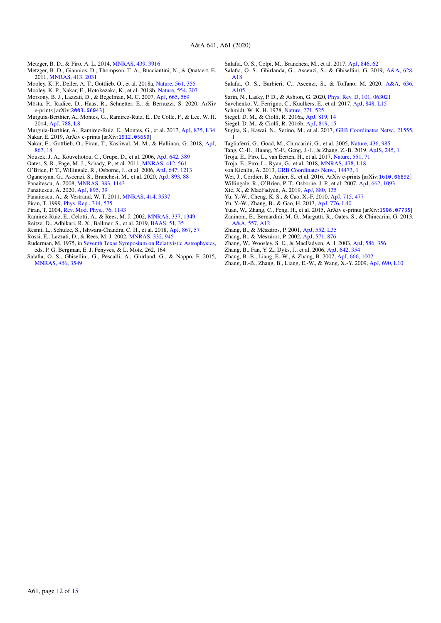- <span id="page-11-26"></span>Metzger, B. D., & Piro, A. L. 2014, [MNRAS, 439, 3916](http://linker.aanda.org/10.1051/0004-6361/202038265/76)
- <span id="page-11-12"></span>Metzger, B. D., Giannios, D., Thompson, T. A., Bucciantini, N., & Quataert, E. 2011, [MNRAS, 413, 2031](http://linker.aanda.org/10.1051/0004-6361/202038265/77)
- <span id="page-11-21"></span>Mooley, K. P., Deller, A. T., Gottlieb, O., et al. 2018a, [Nature, 561, 355](http://linker.aanda.org/10.1051/0004-6361/202038265/78)
- <span id="page-11-42"></span>Mooley, K. P., Nakar, E., Hotokezaka, K., et al. 2018b, [Nature, 554, 207](http://linker.aanda.org/10.1051/0004-6361/202038265/79)
- <span id="page-11-18"></span>Morsony, B. J., Lazzati, D., & Begelman, M. C. 2007, [ApJ, 665, 569](http://linker.aanda.org/10.1051/0004-6361/202038265/80)
- <span id="page-11-46"></span>Mösta, P., Radice, D., Haas, R., Schnetter, E., & Bernuzzi, S. 2020, ArXiv e-prints [arXiv:[2003.06043](https://arxiv.org/abs/2003.06043)]
- <span id="page-11-44"></span>Murguia-Berthier, A., Montes, G., Ramirez-Ruiz, E., De Colle, F., & Lee, W. H. 2014, [ApJ, 788, L8](http://linker.aanda.org/10.1051/0004-6361/202038265/82)
- <span id="page-11-45"></span><span id="page-11-29"></span>Murguia-Berthier, A., Ramirez-Ruiz, E., Montes, G., et al. 2017, [ApJ, 835, L34](http://linker.aanda.org/10.1051/0004-6361/202038265/83) Nakar, E. 2019, ArXiv e-prints [arXiv:[1912.05659](https://arxiv.org/abs/1912.05659)]
- <span id="page-11-43"></span>Nakar, E., Gottlieb, O., Piran, T., Kasliwal, M. M., & Hallinan, G. 2018, [ApJ,](http://linker.aanda.org/10.1051/0004-6361/202038265/85) [867, 18](http://linker.aanda.org/10.1051/0004-6361/202038265/85)
- <span id="page-11-2"></span>Nousek, J. A., Kouveliotou, C., Grupe, D., et al. 2006, [ApJ, 642, 389](http://linker.aanda.org/10.1051/0004-6361/202038265/86)
- <span id="page-11-8"></span>Oates, S. R., Page, M. J., Schady, P., et al. 2011, [MNRAS, 412, 561](http://linker.aanda.org/10.1051/0004-6361/202038265/87)
- <span id="page-11-4"></span>O'Brien, P. T., Willingale, R., Osborne, J., et al. 2006, [ApJ, 647, 1213](http://linker.aanda.org/10.1051/0004-6361/202038265/88)
- <span id="page-11-13"></span>Oganesyan, G., Ascenzi, S., Branchesi, M., et al. 2020, [ApJ, 893, 88](http://linker.aanda.org/10.1051/0004-6361/202038265/89)
- <span id="page-11-6"></span>Panaitescu, A. 2008, [MNRAS, 383, 1143](http://linker.aanda.org/10.1051/0004-6361/202038265/90)
- <span id="page-11-49"></span>Panaitescu, A. 2020, [ApJ, 895, 39](http://linker.aanda.org/10.1051/0004-6361/202038265/91)
- <span id="page-11-7"></span>Panaitescu, A., & Vestrand, W. T. 2011, [MNRAS, 414, 3537](http://linker.aanda.org/10.1051/0004-6361/202038265/92)
- <span id="page-11-38"></span>Piran, T. 1999, [Phys. Rep., 314, 575](http://linker.aanda.org/10.1051/0004-6361/202038265/93)
- <span id="page-11-0"></span>Piran, T. 2004, [Rev. Mod. Phys., 76, 1143](http://linker.aanda.org/10.1051/0004-6361/202038265/94)
- <span id="page-11-16"></span>Ramirez-Ruiz, E., Celotti, A., & Rees, M. J. 2002, [MNRAS, 337, 1349](http://linker.aanda.org/10.1051/0004-6361/202038265/95)
- <span id="page-11-32"></span>Reitze, D., Adhikari, R. X., Ballmer, S., et al. 2019, [BAAS, 51, 35](http://linker.aanda.org/10.1051/0004-6361/202038265/96)
- <span id="page-11-22"></span>Resmi, L., Schulze, S., Ishwara-Chandra, C. H., et al. 2018, [ApJ, 867, 57](http://linker.aanda.org/10.1051/0004-6361/202038265/97)
- <span id="page-11-33"></span>Rossi, E., Lazzati, D., & Rees, M. J. 2002, [MNRAS, 332, 945](http://linker.aanda.org/10.1051/0004-6361/202038265/98)
- <span id="page-11-36"></span>Ruderman, M. 1975, in [Seventh Texas Symposium on Relativistic Astrophysics,](http://linker.aanda.org/10.1051/0004-6361/202038265/99) eds. P. G. Bergman, E. J. Fenyves, & L. Motz, 262, 164
- <span id="page-11-35"></span>Salafia, O. S., Ghisellini, G., Pescalli, A., Ghirland, G., & Nappo, F. 2015, [MNRAS,](http://linker.aanda.org/10.1051/0004-6361/202038265/100) *450*, 3549
- <span id="page-11-51"></span>Salafia, O. S., Colpi, M., Branchesi, M., et al. 2017, [ApJ, 846, 62](http://linker.aanda.org/10.1051/0004-6361/202038265/101)
- <span id="page-11-24"></span>Salafia, O. S., Ghirlanda, G., Ascenzi, S., & Ghisellini, G. 2019, [A&A, 628,](http://linker.aanda.org/10.1051/0004-6361/202038265/102) [A18](http://linker.aanda.org/10.1051/0004-6361/202038265/102)
- <span id="page-11-20"></span>Salafia, O. S., Barbieri, C., Ascenzi, S., & Toffano, M. 2020, [A&A, 636,](http://linker.aanda.org/10.1051/0004-6361/202038265/103) [A105](http://linker.aanda.org/10.1051/0004-6361/202038265/103)
- <span id="page-11-14"></span>Sarin, N., Lasky, P. D., & Ashton, G. 2020, [Phys. Rev. D, 101, 063021](http://linker.aanda.org/10.1051/0004-6361/202038265/104)
- <span id="page-11-39"></span>Savchenko, V., Ferrigno, C., Kuulkers, E., et al. 2017, [ApJ, 848, L15](http://linker.aanda.org/10.1051/0004-6361/202038265/105)
- <span id="page-11-37"></span>Schmidt, W. K. H. 1978, [Nature, 271, 525](http://linker.aanda.org/10.1051/0004-6361/202038265/106)
- <span id="page-11-27"></span>Siegel, D. M., & Ciolfi, R. 2016a, [ApJ, 819, 14](http://linker.aanda.org/10.1051/0004-6361/202038265/107)
- <span id="page-11-28"></span>Siegel, D. M., & Ciolfi, R. 2016b, [ApJ, 819, 15](http://linker.aanda.org/10.1051/0004-6361/202038265/108)
- <span id="page-11-40"></span>Sugita, S., Kawai, N., Serino, M., et al. 2017, [GRB Coordinates Netw., 21555,](http://linker.aanda.org/10.1051/0004-6361/202038265/109) [1](http://linker.aanda.org/10.1051/0004-6361/202038265/109)
- <span id="page-11-1"></span>Tagliaferri, G., Goad, M., Chincarini, G., et al. 2005, [Nature, 436, 985](http://linker.aanda.org/10.1051/0004-6361/202038265/110)
- <span id="page-11-15"></span>Tang, C.-H., Huang, Y.-F., Geng, J.-J., & Zhang, Z.-B. 2019, [ApJS, 245, 1](http://linker.aanda.org/10.1051/0004-6361/202038265/111)
- <span id="page-11-41"></span>Troja, E., Piro, L., van Eerten, H., et al. 2017, [Nature, 551, 71](http://linker.aanda.org/10.1051/0004-6361/202038265/112)
- <span id="page-11-23"></span>Troja, E., Piro, L., Ryan, G., et al. 2018, [MNRAS, 478, L18](http://linker.aanda.org/10.1051/0004-6361/202038265/113)
- <span id="page-11-50"></span>von Kienlin, A. 2013, [GRB Coordinates Netw., 14473, 1](http://linker.aanda.org/10.1051/0004-6361/202038265/114)
- <span id="page-11-31"></span>Wei, J., Cordier, B., Antier, S., et al. 2016, ArXiv e-prints [arXiv:[1610.06892](https://arxiv.org/abs/1610.06892)]
- <span id="page-11-5"></span>Willingale, R., O'Brien, P. T., Osborne, J. P., et al. 2007, [ApJ, 662, 1093](http://linker.aanda.org/10.1051/0004-6361/202038265/116)
- <span id="page-11-19"></span>Xie, X., & MacFadyen, A. 2019, [ApJ, 880, 135](http://linker.aanda.org/10.1051/0004-6361/202038265/117)
- <span id="page-11-11"></span>Yu, Y.-W., Cheng, K. S., & Cao, X.-F. 2010, [ApJ, 715, 477](http://linker.aanda.org/10.1051/0004-6361/202038265/118)
- <span id="page-11-25"></span>Yu, Y.-W., Zhang, B., & Gao, H. 2013, [ApJ, 776, L40](http://linker.aanda.org/10.1051/0004-6361/202038265/119)
- <span id="page-11-30"></span>Yuan, W., Zhang, C., Feng, H., et al. 2015, ArXiv e-prints [arXiv:[1506.07735](https://arxiv.org/abs/1506.07735)]
- <span id="page-11-9"></span>Zaninoni, E., Bernardini, M. G., Margutti, R., Oates, S., & Chincarini, G. 2013, [A&A, 557, A12](http://linker.aanda.org/10.1051/0004-6361/202038265/121)
- <span id="page-11-10"></span>Zhang, B., & Mészáros, P. 2001, [ApJ, 552, L35](http://linker.aanda.org/10.1051/0004-6361/202038265/122)
- <span id="page-11-34"></span>Zhang, B., & Mészáros, P. 2002, [ApJ, 571, 876](http://linker.aanda.org/10.1051/0004-6361/202038265/123)
- <span id="page-11-17"></span>Zhang, W., Woosley, S. E., & MacFadyen, A. I. 2003, [ApJ, 586, 356](http://linker.aanda.org/10.1051/0004-6361/202038265/124)
- <span id="page-11-3"></span>Zhang, B., Fan, Y. Z., Dyks, J., et al. 2006, [ApJ, 642, 354](http://linker.aanda.org/10.1051/0004-6361/202038265/125)
- <span id="page-11-47"></span>Zhang, B.-B., Liang, E.-W., & Zhang, B. 2007, [ApJ, 666, 1002](http://linker.aanda.org/10.1051/0004-6361/202038265/126)
- <span id="page-11-48"></span>Zhang, B.-B., Zhang, B., Liang, E.-W., & Wang, X.-Y. 2009, [ApJ, 690, L10](http://linker.aanda.org/10.1051/0004-6361/202038265/127)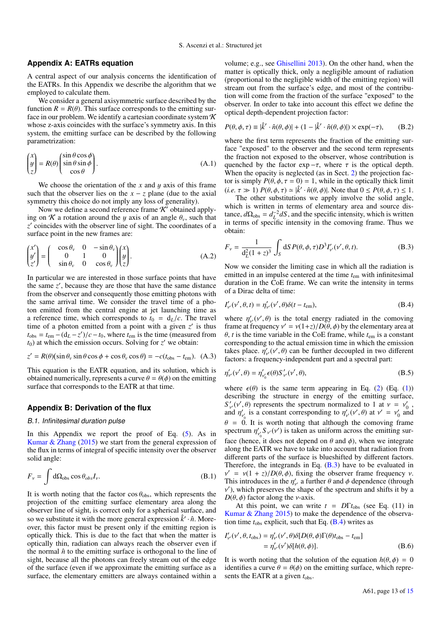#### <span id="page-12-0"></span>**Appendix A: EATRs equation**

A central aspect of our analysis concerns the identification of the EATRs. In this Appendix we describe the algorithm that we employed to calculate them.

We consider a general axisymmetric surface described by the function  $R = R(\theta)$ . This surface corresponds to the emitting surface in our problem. We identify a cartesian coordinate system  $\mathcal K$ whose z-axis coincides with the surface's symmetry axis. In this system, the emitting surface can be described by the following parametrization:

$$
\begin{pmatrix} x \\ y \\ z \end{pmatrix} = R(\theta) \begin{pmatrix} \sin \theta \cos \phi \\ \sin \theta \sin \phi \\ \cos \theta \end{pmatrix} .
$$
 (A.1)

We choose the orientation of the  $x$  and  $y$  axis of this frame such that the observer lies on the  $x - z$  plane (due to the axial symmetry this choice do not imply any loss of generality).

Now we define a second reference frame  $\mathcal{K}'$  obtained applying on K a rotation around the y axis of an angle  $\theta_v$ , such that z' coincides with the observer line of sight. The coordinates of a surface point in the new frames are:

$$
\begin{pmatrix} x' \\ y' \\ z' \end{pmatrix} = \begin{pmatrix} \cos \theta_v & 0 & -\sin \theta_v \\ 0 & 1 & 0 \\ \sin \theta_v & 0 & \cos \theta_v \end{pmatrix} \begin{pmatrix} x \\ y \\ z \end{pmatrix}.
$$
 (A.2)

In particular we are interested in those surface points that have the same  $z'$ , because they are those that have the same distance from the observer and consequently those emitting photons with the same arrival time. We consider the travel time of a photon emitted from the central engine at jet launching time as a reference time, which corresponds to  $t_0 = d_L/c$ . The travel time of a photon emitted from a point with a given  $z'$  is thus  $t_{obs} = t_{em} - (d_L - z')/c - t_0$ , where  $t_{em}$  is the time (measured from  $t_0$ ) at which the emission occurs. Solving for z' we obtain:  $t_0$ ) at which the emission occurs. Solving for  $z'$  we obtain:

$$
z' = R(\theta)(\sin \theta_v \sin \theta \cos \phi + \cos \theta_v \cos \theta) = -c(t_{\text{obs}} - t_{\text{em}}). \tag{A.3}
$$

This equation is the EATR equation, and its solution, which is obtained numerically, represents a curve  $\theta = \theta(\phi)$  on the emitting surface that corresponds to the EATR at that time.

## **Appendix B: Derivation of the flux**

#### <span id="page-12-1"></span>B.1. Infinitesimal duration pulse

In this Appendix we report the proof of Eq.  $(5)$ . As in [Kumar & Zhang](#page-10-0) [\(2015\)](#page-10-0) we start from the general expression of the flux in terms of integral of specific intensity over the observer solid angle:

$$
F_{\nu} = \int d\Omega_{\text{obs}} \cos \theta_{obs} I_{\nu}.
$$
 (B.1)

It is worth noting that the factor  $\cos \theta_{\rm obs}$ , which represents the projection of the emitting surface elementary area along the observer line of sight, is correct only for a spherical surface, and so we substitute it with the more general expression  $\hat{k}' \cdot \hat{n}$ . Moreover, this factor must be present only if the emitting region is optically thick. This is due to the fact that when the matter is optically thin, radiation can always reach the observer even if the normal  $\hat{n}$  to the emitting surface is orthogonal to the line of sight, because all the photons can freely stream out of the edge of the surface (even if we approximate the emitting surface as a surface, the elementary emitters are always contained within a

volume; e.g., see [Ghisellini](#page-10-72) [2013\)](#page-10-72). On the other hand, when the matter is optically thick, only a negligible amount of radiation (proportional to the negligible width of the emitting region) will stream out from the surface's edge, and most of the contribution will come from the fraction of the surface "exposed" to the observer. In order to take into account this effect we define the optical depth-dependent projection factor:

$$
P(\theta, \phi, \tau) \equiv |\hat{k}' \cdot \hat{n}(\theta, \phi)| + (1 - |\hat{k}' \cdot \hat{n}(\theta, \phi)|) \times \exp(-\tau), \quad (B.2)
$$

where the first term represents the fraction of the emitting surface "exposed" to the observer and the second term represents the fraction not exposed to the observer, whose contribution is quenched by the factor  $exp -\tau$ , where  $\tau$  is the optical depth. When the opacity is neglected (as in Sect. [2\)](#page-1-1) the projection factor is simply  $P(\theta, \phi, \tau = 0) = 1$ , while in the optically thick limit (*i.e.*  $\tau \gg 1$ )  $P(\theta, \phi, \tau) \simeq |\hat{k}' \cdot \hat{n}(\theta, \phi)|$ . Note that  $0 \leq P(\theta, \phi, \tau) \leq 1$ .<br>The other substitutions we apply involve the solid angle

The other substitutions we apply involve the solid angle, which is written in terms of elementary area and source distance,  $d\Omega_{obs} = d_L^{-2} dS$ , and the specific intensity, which is written<br>in terms of specific intensity in the comoving frame. Thus we in terms of specific intensity in the comoving frame. Thus we obtain:

<span id="page-12-2"></span>
$$
F_{\nu} = \frac{1}{d_L^2 (1+z)^3} \int_S dS P(\theta, \phi, \tau) D^3 I'_{\nu'}(\nu', \theta, t).
$$
 (B.3)

Now we consider the limiting case in which all the radiation is emitted in an impulse centered at the time *t*em with infinitesimal duration in the CoE frame. We can write the intensity in terms of a Dirac delta of time:

<span id="page-12-3"></span>
$$
I'_{\nu'}(\nu', \theta, t) = \eta'_{\nu'}(\nu', \theta)\delta(t - t_{\rm em}),
$$
\n(B.4)

where  $\eta'_{y'}(v', \theta)$  is the total energy radiated in the comoving frame at frequency  $v' = v(1+z)/D(\theta, \phi)$  by the elementary area at frame at frequency  $v' = v(1+z)/D(\theta, \phi)$  by the elementary area at  $\theta$  *t* is the time variable in the CoF frame, while  $t_m$  is a constant <sup>θ</sup>, *<sup>t</sup>* is the time variable in the CoE frame, while *<sup>t</sup>*em is a constant corresponding to the actual emission time in which the emission takes place.  $\eta'_{y'}(v', \theta)$  can be further decoupled in two different factors: a frequency-independent part and a spectral part: factors: a frequency-independent part and a spectral part:

$$
\eta'_{v'}(v',\theta) = \eta'_{v'_0}\epsilon(\theta)S'_{v'}(v',\theta),\tag{B.5}
$$

where  $\epsilon(\theta)$  is the same term appearing in Eq. [\(2\)](#page-1-4) (Eq. [\(1\)](#page-1-5)) describing the structure in energy of the emitting surface,  $S'_{\nu}(v', \theta)$  represents the spectrum normalized to 1 at  $v = v'_0$ ,<br>and  $n'$ , is a constant corresponding to  $n'(v' \theta)$  at  $v' = v'_0$  and and  $\eta'_{\nu'}$  is a constant corresponding to  $\eta'_{\nu'}(v', \theta)$  at  $v' = v'_0$  and  $\theta = 0$ . It is worth noting that although the comoving frame<br>spectrum  $n'$ .  $S_{\alpha'}(v')$  is taken as uniform across the emitting surspectrum  $\eta'_{y_0} S_{y'}(v')$  is taken as uniform across the emitting sur-<br>face (have it does not denoted as 0 and 1) when we integrate face (hence, it does not depend on  $\theta$  and  $\phi$ ), when we integrate along the EATR we have to take into account that radiation from along the EATR we have to take into account that radiation from different parts of the surface is blueshifted by different factors. Therefore, the integrands in Eq.  $(B.3)$  have to be evaluated in This introduces in the  $\eta'_{\gamma'}$  a further  $\theta$  and  $\phi$  dependence (through  $\nu'$ ) which preserves the shape of the spectrum and shifts it by a  $v' = v(1 + z)/D(\theta, \phi)$ , fixing the observer frame frequency *v*. ν 0 ), which preserves the shape of the spectrum and shifts it by a  $D(\theta, \phi)$  factor along the *v*-axis.<br>At this point, we can write

At this point, we can write  $t = DT<sub>obs</sub>$  (see Eq. (11) in [Kumar & Zhang](#page-10-0) [2015\)](#page-10-0) to make the dependence of the observation time  $t_{obs}$  explicit, such that Eq.  $(B.4)$  writes as

$$
I'_{\nu'}(\nu', \theta, t_{\text{obs}}) = \eta'_{\nu'}(\nu', \theta) \delta[D(\theta, \phi) \Gamma(\theta) t_{\text{obs}} - t_{\text{em}}]
$$
  
=  $\eta'_{\nu'}(\nu') \delta[h(\theta, \phi)].$  (B.6)

It is worth noting that the solution of the equation  $h(\theta, \phi) = 0$ identifies a curve  $\theta = \theta(\phi)$  on the emitting surface, which represents the EATR at a given  $t_{\rm obs}$ .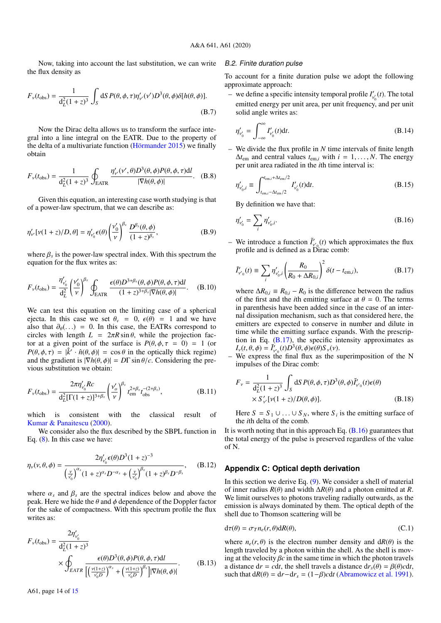Now, taking into account the last substitution, we can write the flux density as

$$
F_{\nu}(t_{\text{obs}}) = \frac{1}{d_L^2 (1+z)^3} \int_S dS P(\theta, \phi, \tau) \eta_{\nu}(\nu') D^3(\theta, \phi) \delta[h(\theta, \phi)].
$$
\n(B.7)

Now the Dirac delta allows us to transform the surface integral into a line integral on the EATR. Due to the property of the delta of a multivariate function [\(Hörmander](#page-10-73) [2015\)](#page-10-73) we finally obtain

$$
F_{\nu}(t_{\text{obs}}) = \frac{1}{d_{L}^{2}(1+z)^{3}} \oint_{\text{EATR}} \frac{\eta_{\nu}^{\prime}(\nu^{\prime}, \theta)D^{3}(\theta, \phi)P(\theta, \phi, \tau)dl}{|\nabla h(\theta, \phi)|}.
$$
 (B.8)

Given this equation, an interesting case worth studying is that of a power-law spectrum, that we can describe as:

$$
\eta'_{\nu'}[\nu(1+z)/D,\theta] = \eta'_{\nu'_0}\epsilon(\theta) \left(\frac{\nu'_0}{\nu}\right)^{\beta_s} \frac{D^{\beta_s}(\theta,\phi)}{(1+z)^{\beta_s}},
$$
(B.9)

where  $\beta_s$  is the power-law spectral index. With this spectrum the equation for the flux writes as: equation for the flux writes as:

$$
F_{\nu}(t_{\rm obs}) = \frac{\eta'_{\nu_0'}}{d_L^2} \left(\frac{\nu'_0}{\nu}\right)^{\beta_s} \oint_{\rm EATR} \frac{\epsilon(\theta) D^{3+\beta_s}(\theta, \phi) P(\theta, \phi, \tau) \mathrm{d}l}{(1+z)^{3+\beta_s} |\nabla h(\theta, \phi)|}. \quad (B.10)
$$

We can test this equation on the limiting case of a spherical ejecta. In this case we set  $\theta$ <sub>v</sub> = 0,  $\epsilon(\theta)$  = 1 and we have also that  $\partial_{\theta}(\ldots) = 0$ . In this case, the EATRs correspond to circles with length  $L = 2\pi R \sin \theta$ , while the projection factor at a given point of the surface is  $P(\theta, \phi, \tau = 0) = 1$  (or  $P(\theta, \phi, \tau) = |\hat{k}' \cdot \hat{n}(\theta, \phi)| = \cos \theta$  in the optically thick regime) and the oradient is  $|\nabla h(\theta, \phi)| = D\Gamma \sin \theta/c$  Considering the preand the gradient is  $|\nabla h(\theta, \phi)| = D\Gamma \sin \theta/c$ . Considering the previous substitution we obtain:

$$
F_{\nu}(t_{\rm obs}) = \frac{2\pi\eta_{\nu_0'}' R c}{d_L^2 [\Gamma(1+z)]^{3+\beta_s}} \left(\frac{\nu_o'}{\nu}\right)^{\beta_s} t_{\rm em}^{2+\beta_s} t_{\rm obs}^{-(2+\beta_s)},\tag{B.11}
$$

which is consistent with the classical result of [Kumar & Panaitescu](#page-10-17) [\(2000\)](#page-10-17).

We consider also the flux described by the SBPL function in Eq. [\(8\)](#page-2-5). In this case we have:

$$
\eta_{\nu}(\nu,\theta,\phi) = \frac{2\eta_{\nu_0'}' \epsilon(\theta) D^3 (1+z)^{-3}}{\left(\frac{\nu}{\nu_0'}\right)^{\alpha_s} (1+z)^{\alpha_s} D^{-\alpha_s} + \left(\frac{\nu}{\nu_0'}\right)^{\beta_s} (1+z)^{\beta_s} D^{-\beta_s}}, \quad (B.12)
$$

where  $\alpha_s$  and  $\beta_s$  are the spectral indices below and above the peak. Here we hide the  $\theta$  and  $\phi$  dependence of the Doppler factor for the sake of compactness. With this spectrum profile the flux writes as:

$$
F_{\nu}(t_{\text{obs}}) = \frac{2\eta_{\nu_0'}}{d_L^2(1+z)^3}
$$
  
 
$$
\times \oint_{EATR} \frac{\epsilon(\theta)D^3(\theta,\phi)P(\theta,\phi,\tau)dl}{\left[\left(\frac{\nu(1+z)}{\nu_0 D}\right)^{\alpha_s} + \left(\frac{\nu(1+z)}{\nu_0 D}\right)^{\beta_s}\right]|\nabla h(\theta,\phi)|}.
$$
 (B.13)

#### <span id="page-13-0"></span>B.2. Finite duration pulse

To account for a finite duration pulse we adopt the following approximate approach:

 $-$  we define a specific intensity temporal profile  $I'_{v'}(t)$ . The total emitted energy per unit area, per unit frequency, and per unit solid angle writes as:

$$
\eta'_{\nu'_0} = \int_{-\infty}^{\infty} I'_{\nu'_0}(t) \mathrm{d}t. \tag{B.14}
$$

– We divide the flux profile in *N* time intervals of finite length  $\Delta t_{\text{em}}$  and central values  $t_{\text{em},i}$  with  $i = 1, \ldots, N$ . The energy per unit area radiated in the *i*th time interval is:

<span id="page-13-1"></span>
$$
\eta'_{v'_{0},i} \equiv \int_{t_{\text{em},i}-\Delta t_{\text{em}}/2}^{t_{\text{em},i}+\Delta t_{\text{em}}/2} I'_{v'_{0}}(t)dt.
$$
\n(B.15)

<span id="page-13-5"></span>By definition we have that:

$$
\eta'_{\nu'_0} = \sum_i \eta'_{\nu'_0, i}.
$$
\n(B.16)

– We introduce a function  $\tilde{I}'_{v'}(t)$  which approximates the flux profile and is defined as a Dirac comb:

<span id="page-13-4"></span>
$$
\tilde{I}'_{v'_{0}}(t) \equiv \sum_{i} \eta'_{v'_{0},i} \left(\frac{R_{0}}{R_{0} + \Delta R_{0,i}}\right)^{2} \delta(t - t_{\text{em},i}), \tag{B.17}
$$

where  $\Delta R_{0,i} = R_{0,i} - R_0$  is the difference between the radius of the first and the *i*th emitting surface at  $\theta = 0$ . The terms in parenthesis have been added since in the case of an internal dissipation mechanism, such as that considered here, the emitters are expected to conserve in number and dilute in time while the emitting surface expands. With the prescription in Eq.  $(B.17)$ , the specific intensity approximates as  $I_v(t, \theta, \phi) = \tilde{I}_{v_0}(t) \tilde{D}^3(\theta, \phi) \epsilon(\theta) S_v(v)$ .<br>We express the final flux as the s

– We express the final flux as the superimposition of the N impulses of the Dirac comb:

$$
F_{\nu} = \frac{1}{d_{L}^{2}(1+z)^{3}} \int_{S} dS P(\theta, \phi, \tau) D^{3}(\theta, \phi) \tilde{I}'_{\nu'_{0}}(t) \epsilon(\theta)
$$
  
× S'<sub>\nu'</sub>[ $\nu$ (1 + z)/ $D(\theta, \phi)$ ]. (B.18)

Here  $S = S_1 \cup ... \cup S_N$ , where  $S_i$  is the emitting surface of the *i*th delta of the comb the *i*th delta of the comb.

It is worth noting that in this approach Eq.  $(B.16)$  guarantees that the total energy of the pulse is preserved regardless of the value of N.

#### <span id="page-13-2"></span>**Appendix C: Optical depth derivation**

In this section we derive Eq. [\(9\)](#page-4-2). We consider a shell of material of inner radius  $R(\theta)$  and width  $\Delta R(\theta)$  and a photon emitted at *R*. We limit ourselves to photons traveling radially outwards, as the emission is always dominated by them. The optical depth of the shell due to Thomson scattering will be

<span id="page-13-6"></span>
$$
d\tau(\theta) = \sigma_T n_e(r, \theta) dR(\theta), \qquad (C.1)
$$

<span id="page-13-3"></span>where  $n_e(r, \theta)$  is the electron number density and  $dR(\theta)$  is the length traveled by a photon within the shell. As the shell is moving at the velocity  $\beta c$  in the same time in which the photon travels a distance  $dr = cdt$ , the shell travels a distance  $dr_s(\theta) = \beta(\theta)cdt$ , such that  $dR(\theta) = dr - dr_s = (1 - \beta) c dt$  [\(Abramowicz et al.](#page-10-74) [1991\)](#page-10-74).